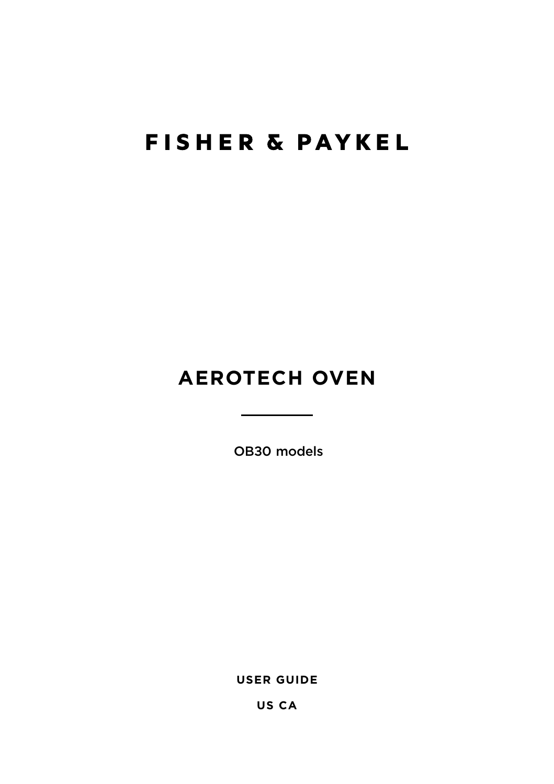## **FISHER & PAYKEL**

## **AEROTECH OVEN**

OB30 models

**USER GUIDE**

**US CA**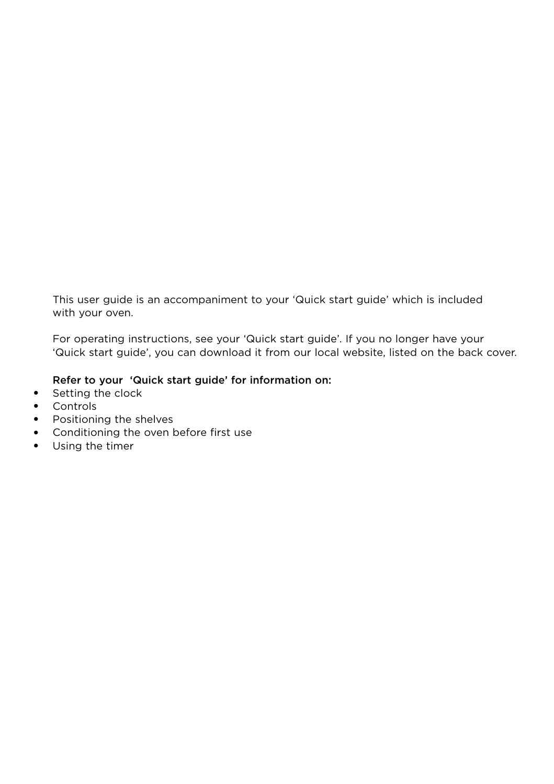This user guide is an accompaniment to your 'Quick start guide' which is included with your oven.

For operating instructions, see your 'Quick start guide'. If you no longer have your 'Quick start guide', you can download it from our local website, listed on the back cover.

#### Refer to your 'Quick start guide' for information on:

- Setting the clock
- Controls
- Positioning the shelves
- Conditioning the oven before first use
- Using the timer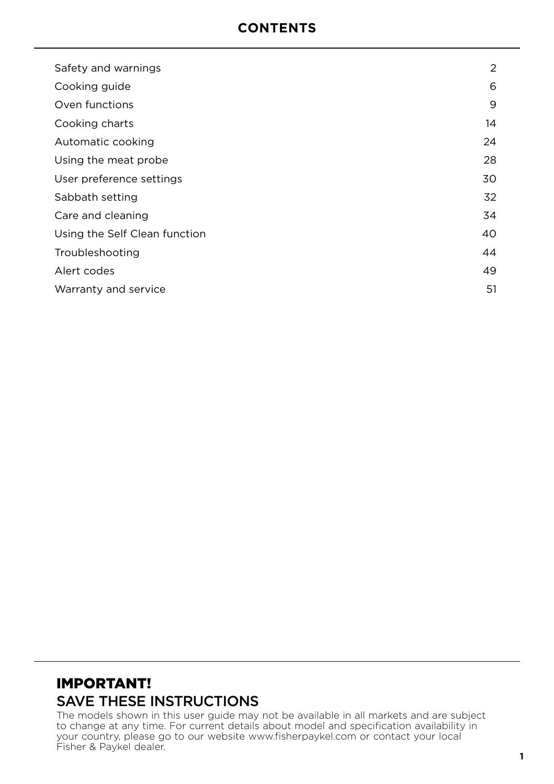### **CONTENTS**

| Safety and warnings           | 2  |
|-------------------------------|----|
| Cooking guide                 | 6  |
| Oven functions                | 9  |
| Cooking charts                | 14 |
| Automatic cooking             | 24 |
| Using the meat probe          | 28 |
| User preference settings      | 30 |
| Sabbath setting               | 32 |
| Care and cleaning             | 34 |
| Using the Self Clean function | 40 |
| Troubleshooting               | 44 |
| Alert codes                   | 49 |
| Warranty and service          | 51 |

## IMPORTANT! SAVE THESE INSTRUCTIONS

The models shown in this user guide may not be available in all markets and are subject to change at any time. For current details about model and specification availability in your country, please go to our website www.fisherpaykel.com or contact your local Fisher & Paykel dealer.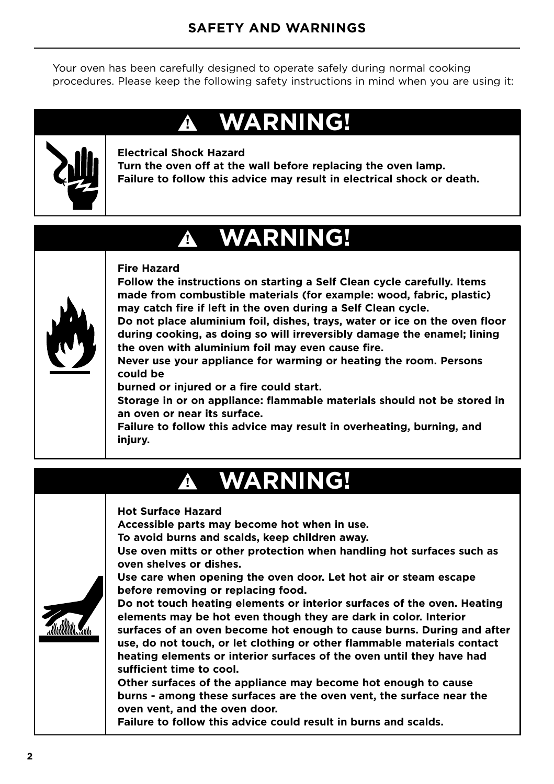Your oven has been carefully designed to operate safely during normal cooking procedures. Please keep the following safety instructions in mind when you are using it:

## **WARNING! !**



#### **Electrical Shock Hazard**

**Turn the oven off at the wall before replacing the oven lamp. Failure to follow this advice may result in electrical shock or death.**

## **WARNING! !**



#### **Fire Hazard**

**Follow the instructions on starting a Self Clean cycle carefully. Items made from combustible materials (for example: wood, fabric, plastic) may catch fire if left in the oven during a Self Clean cycle.**

**Do not place aluminium foil, dishes, trays, water or ice on the oven floor during cooking, as doing so will irreversibly damage the enamel; lining the oven with aluminium foil may even cause fire.**

**Never use your appliance for warming or heating the room. Persons could be**

**burned or injured or a fire could start.**

**Storage in or on appliance: flammable materials should not be stored in an oven or near its surface.**

**Failure to follow this advice may result in overheating, burning, and injury.**

## **WARNING! !**

#### **Hot Surface Hazard**

**Accessible parts may become hot when in use.**

**To avoid burns and scalds, keep children away.**

**Use oven mitts or other protection when handling hot surfaces such as oven shelves or dishes.**

**Use care when opening the oven door. Let hot air or steam escape before removing or replacing food.**

**Do not touch heating elements or interior surfaces of the oven. Heating elements may be hot even though they are dark in color. Interior surfaces of an oven become hot enough to cause burns. During and after use, do not touch, or let clothing or other flammable materials contact heating elements or interior surfaces of the oven until they have had sufficient time to cool.**

**Other surfaces of the appliance may become hot enough to cause burns - among these surfaces are the oven vent, the surface near the oven vent, and the oven door.**

**Failure to follow this advice could result in burns and scalds.**

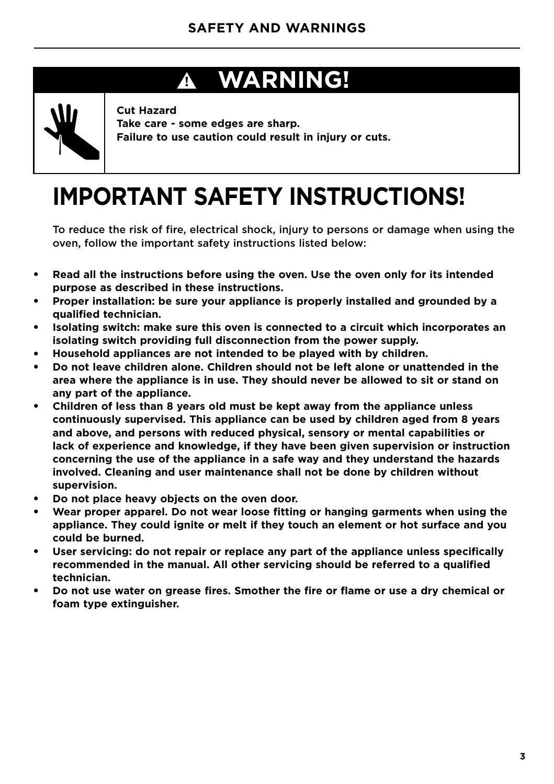## **WARNING! !**



**Cut Hazard Take care - some edges are sharp. Failure to use caution could result in injury or cuts.**

# **IMPORTANT SAFETY INSTRUCTIONS!**

To reduce the risk of fire, electrical shock, injury to persons or damage when using the oven, follow the important safety instructions listed below:

- Read all the instructions before using the oven. Use the oven only for its intended **purpose as described in these instructions.**
- **Proper installation: be sure your appliance is properly installed and grounded by a qualified technician.**
- **Isolating switch: make sure this oven is connected to a circuit which incorporates an isolating switch providing full disconnection from the power supply.**
- **Household appliances are not intended to be played with by children.**
- **Do not leave children alone. Children should not be left alone or unattended in the area where the appliance is in use. They should never be allowed to sit or stand on any part of the appliance.**
- **Children of less than 8 years old must be kept away from the appliance unless continuously supervised. This appliance can be used by children aged from 8 years and above, and persons with reduced physical, sensory or mental capabilities or lack of experience and knowledge, if they have been given supervision or instruction concerning the use of the appliance in a safe way and they understand the hazards involved. Cleaning and user maintenance shall not be done by children without supervision.**
- Do not place heavy objects on the oven door.
- Wear proper apparel. Do not wear loose fitting or hanging garments when using the **appliance. They could ignite or melt if they touch an element or hot surface and you could be burned.**
- User servicing: do not repair or replace any part of the appliance unless specifically **recommended in the manual. All other servicing should be referred to a qualified technician.**
- **Do not use water on grease fires. Smother the fire or flame or use a dry chemical or foam type extinguisher.**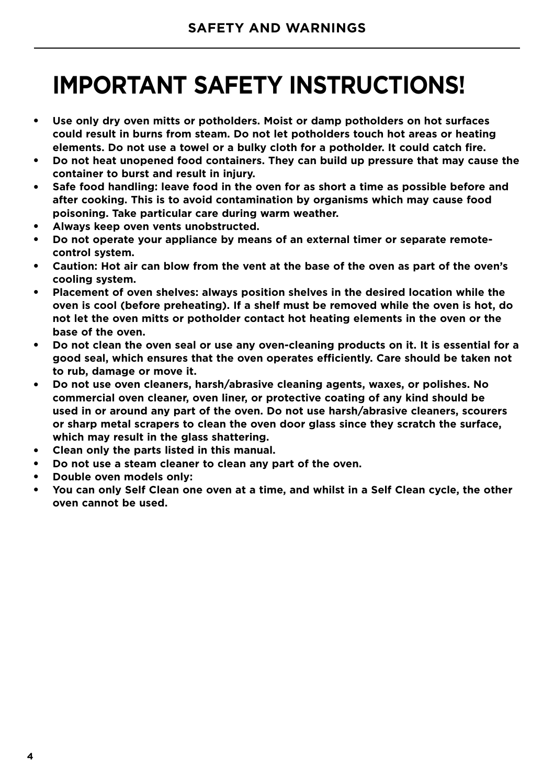## **IMPORTANT SAFETY INSTRUCTIONS!**

- **Use only dry oven mitts or potholders. Moist or damp potholders on hot surfaces could result in burns from steam. Do not let potholders touch hot areas or heating elements. Do not use a towel or a bulky cloth for a potholder. It could catch fire.**
- **Do not heat unopened food containers. They can build up pressure that may cause the container to burst and result in injury.**
- Safe food handling: leave food in the oven for as short a time as possible before and **after cooking. This is to avoid contamination by organisms which may cause food poisoning. Take particular care during warm weather.**
- **Always keep oven vents unobstructed.**
- Do not operate your appliance by means of an external timer or separate remote**control system.**
- **Caution: Hot air can blow from the vent at the base of the oven as part of the oven's cooling system.**
- **Placement of oven shelves: always position shelves in the desired location while the oven is cool (before preheating). If a shelf must be removed while the oven is hot, do not let the oven mitts or potholder contact hot heating elements in the oven or the base of the oven.**
- Do not clean the oven seal or use any oven-cleaning products on it. It is essential for a **good seal, which ensures that the oven operates efficiently. Care should be taken not to rub, damage or move it.**
- **Do not use oven cleaners, harsh/abrasive cleaning agents, waxes, or polishes. No commercial oven cleaner, oven liner, or protective coating of any kind should be used in or around any part of the oven. Do not use harsh/abrasive cleaners, scourers or sharp metal scrapers to clean the oven door glass since they scratch the surface, which may result in the glass shattering.**
- Clean only the parts listed in this manual.
- Do not use a steam cleaner to clean any part of the oven.
- **Double oven models only:**
- You can only Self Clean one oven at a time, and whilst in a Self Clean cycle, the other **oven cannot be used.**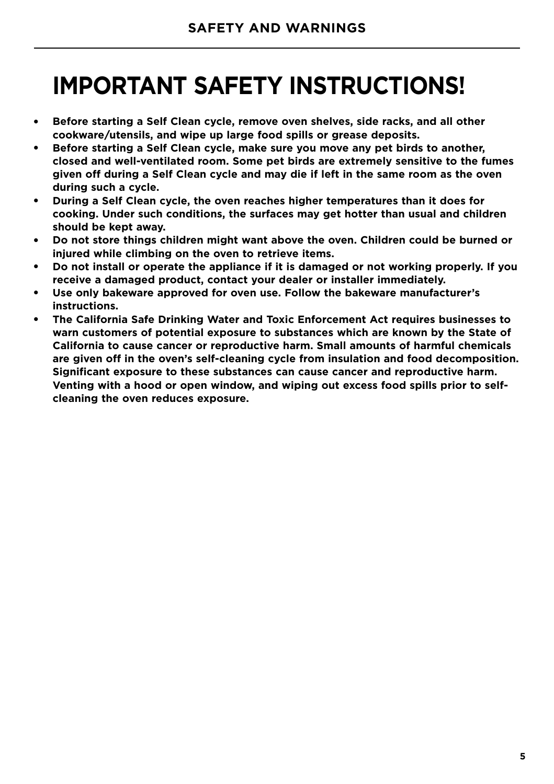## **IMPORTANT SAFETY INSTRUCTIONS!**

- **Before starting a Self Clean cycle, remove oven shelves, side racks, and all other cookware/utensils, and wipe up large food spills or grease deposits.**
- **Before starting a Self Clean cycle, make sure you move any pet birds to another, closed and well-ventilated room. Some pet birds are extremely sensitive to the fumes given off during a Self Clean cycle and may die if left in the same room as the oven during such a cycle.**
- **During a Self Clean cycle, the oven reaches higher temperatures than it does for cooking. Under such conditions, the surfaces may get hotter than usual and children should be kept away.**
- **Do not store things children might want above the oven. Children could be burned or injured while climbing on the oven to retrieve items.**
- **Do not install or operate the appliance if it is damaged or not working properly. If you receive a damaged product, contact your dealer or installer immediately.**
- **Use only bakeware approved for oven use. Follow the bakeware manufacturer's instructions.**
- **The California Safe Drinking Water and Toxic Enforcement Act requires businesses to warn customers of potential exposure to substances which are known by the State of California to cause cancer or reproductive harm. Small amounts of harmful chemicals are given off in the oven's self-cleaning cycle from insulation and food decomposition. Significant exposure to these substances can cause cancer and reproductive harm. Venting with a hood or open window, and wiping out excess food spills prior to selfcleaning the oven reduces exposure.**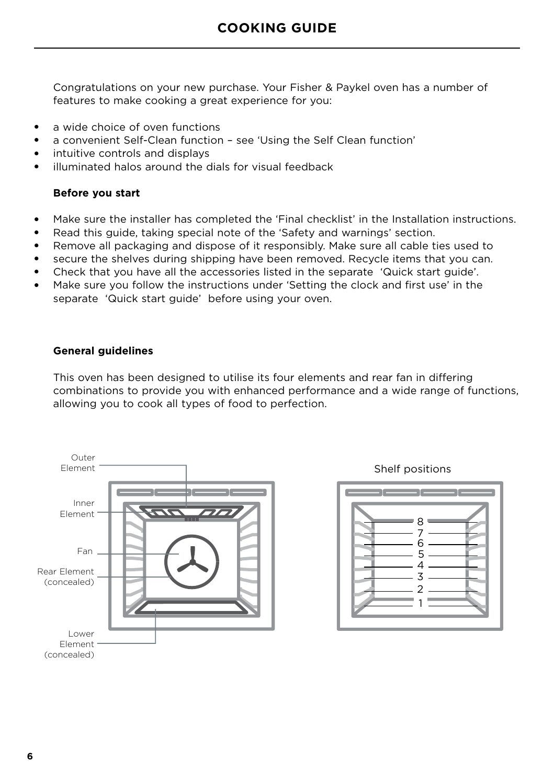Congratulations on your new purchase. Your Fisher & Paykel oven has a number of features to make cooking a great experience for you:

- a wide choice of oven functions
- a convenient Self-Clean function see 'Using the Self Clean function'
- intuitive controls and displays
- illuminated halos around the dials for visual feedback

#### **Before you start**

- Make sure the installer has completed the 'Final checklist' in the Installation instructions.
- Read this guide, taking special note of the 'Safety and warnings' section.
- Remove all packaging and dispose of it responsibly. Make sure all cable ties used to
- secure the shelves during shipping have been removed. Recycle items that you can.
- Check that you have all the accessories listed in the separate 'Quick start guide'.
- Make sure you follow the instructions under 'Setting the clock and first use' in the separate 'Quick start guide' before using your oven.

#### **General guidelines**

This oven has been designed to utilise its four elements and rear fan in differing combinations to provide you with enhanced performance and a wide range of functions, allowing you to cook all types of food to perfection.



Shelf positions

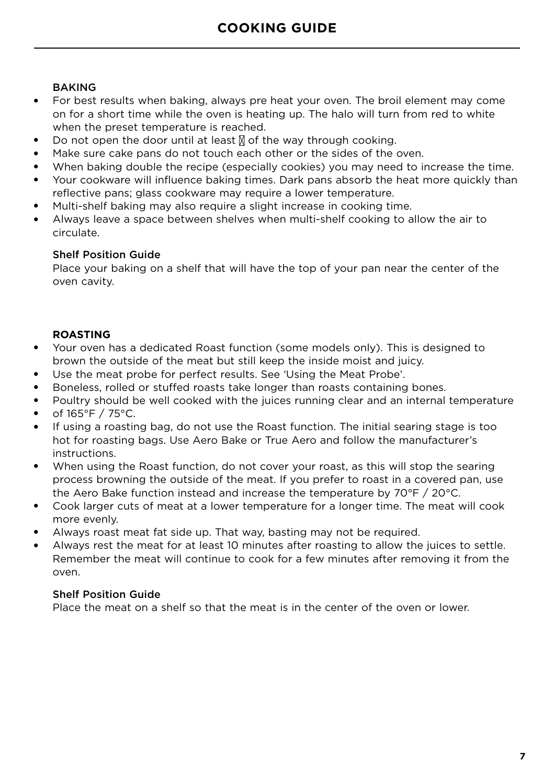#### BAKING

- For best results when baking, always pre heat your oven. The broil element may come on for a short time while the oven is heating up. The halo will turn from red to white when the preset temperature is reached.
- Do not open the door until at least  $\mathbb N$  of the way through cooking.
- Make sure cake pans do not touch each other or the sides of the oven.
- When baking double the recipe (especially cookies) you may need to increase the time.
- Your cookware will influence baking times. Dark pans absorb the heat more quickly than reflective pans; glass cookware may require a lower temperature.
- Multi-shelf baking may also require a slight increase in cooking time.
- Always leave a space between shelves when multi-shelf cooking to allow the air to circulate.

#### Shelf Position Guide

Place your baking on a shelf that will have the top of your pan near the center of the oven cavity.

#### **ROASTING**

- Your oven has a dedicated Roast function (some models only). This is designed to brown the outside of the meat but still keep the inside moist and juicy.
- Use the meat probe for perfect results. See 'Using the Meat Probe'.
- Boneless, rolled or stuffed roasts take longer than roasts containing bones.
- Poultry should be well cooked with the juices running clear and an internal temperature
- of 165°F / 75°C.
- If using a roasting bag, do not use the Roast function. The initial searing stage is too hot for roasting bags. Use Aero Bake or True Aero and follow the manufacturer's instructions.
- When using the Roast function, do not cover your roast, as this will stop the searing process browning the outside of the meat. If you prefer to roast in a covered pan, use the Aero Bake function instead and increase the temperature by 70°F / 20°C.
- Cook larger cuts of meat at a lower temperature for a longer time. The meat will cook more evenly.
- Always roast meat fat side up. That way, basting may not be required.
- Always rest the meat for at least 10 minutes after roasting to allow the juices to settle. Remember the meat will continue to cook for a few minutes after removing it from the oven.

#### Shelf Position Guide

Place the meat on a shelf so that the meat is in the center of the oven or lower.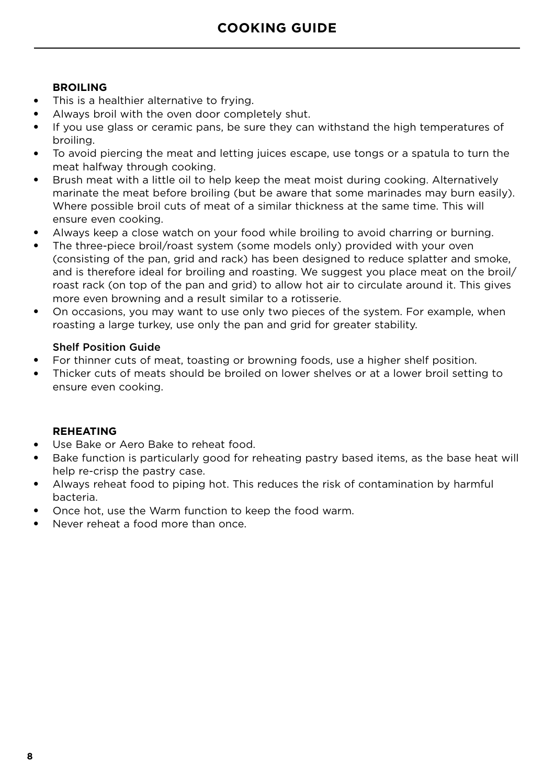#### **BROILING**

- This is a healthier alternative to frying.
- Always broil with the oven door completely shut.
- If you use glass or ceramic pans, be sure they can withstand the high temperatures of broiling.
- To avoid piercing the meat and letting juices escape, use tongs or a spatula to turn the meat halfway through cooking.
- Brush meat with a little oil to help keep the meat moist during cooking. Alternatively marinate the meat before broiling (but be aware that some marinades may burn easily). Where possible broil cuts of meat of a similar thickness at the same time. This will ensure even cooking.
- Always keep a close watch on your food while broiling to avoid charring or burning.
- The three-piece broil/roast system (some models only) provided with your oven (consisting of the pan, grid and rack) has been designed to reduce splatter and smoke, and is therefore ideal for broiling and roasting. We suggest you place meat on the broil/ roast rack (on top of the pan and grid) to allow hot air to circulate around it. This gives more even browning and a result similar to a rotisserie.
- On occasions, you may want to use only two pieces of the system. For example, when roasting a large turkey, use only the pan and grid for greater stability.

#### Shelf Position Guide

- For thinner cuts of meat, toasting or browning foods, use a higher shelf position.
- Thicker cuts of meats should be broiled on lower shelves or at a lower broil setting to ensure even cooking.

#### **REHEATING**

- Use Bake or Aero Bake to reheat food.
- Bake function is particularly good for reheating pastry based items, as the base heat will help re-crisp the pastry case.
- Always reheat food to piping hot. This reduces the risk of contamination by harmful bacteria.
- Once hot, use the Warm function to keep the food warm.
- Never reheat a food more than once.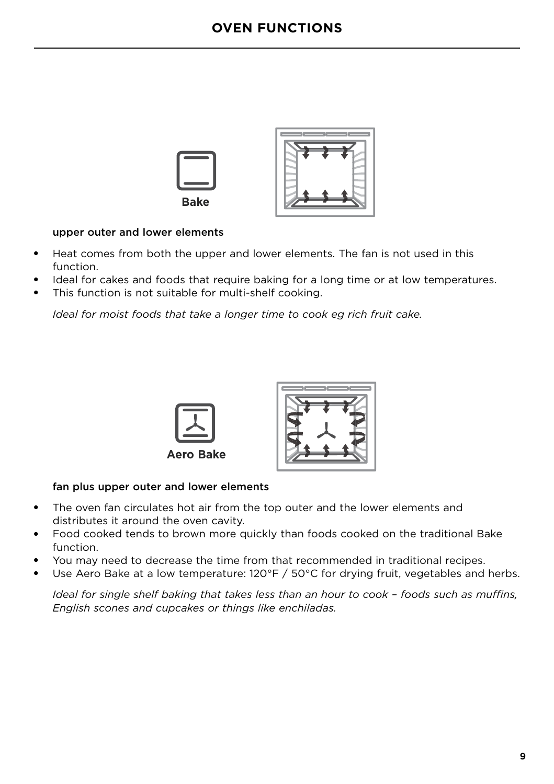

#### upper outer and lower elements

- Heat comes from both the upper and lower elements. The fan is not used in this function.
- Ideal for cakes and foods that require baking for a long time or at low temperatures.
- This function is not suitable for multi-shelf cooking.

*Ideal for moist foods that take a longer time to cook eg rich fruit cake.*





#### fan plus upper outer and lower elements

- The oven fan circulates hot air from the top outer and the lower elements and distributes it around the oven cavity.
- Food cooked tends to brown more quickly than foods cooked on the traditional Bake function.
- You may need to decrease the time from that recommended in traditional recipes.
- Use Aero Bake at a low temperature:  $120^{\circ}F / 50^{\circ}C$  for drying fruit, vegetables and herbs.

*Ideal for single shelf baking that takes less than an hour to cook – foods such as muffins, English scones and cupcakes or things like enchiladas.*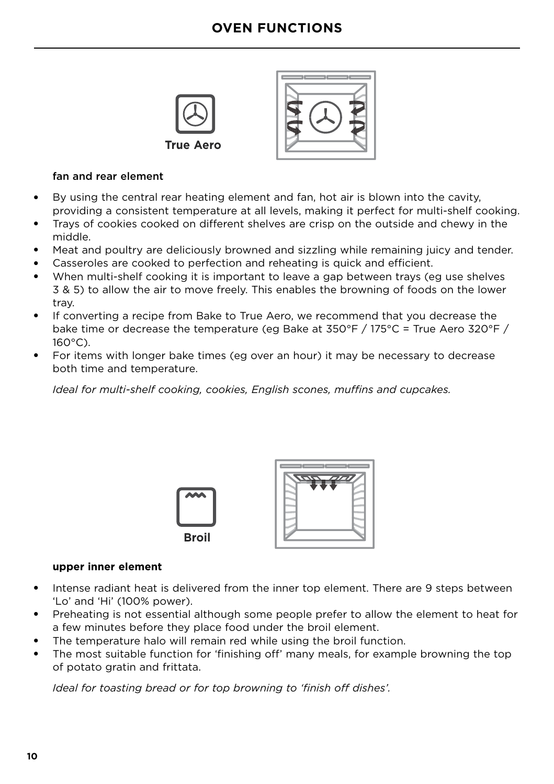## **OVEN FUNCTIONS**





#### fan and rear element

- By using the central rear heating element and fan, hot air is blown into the cavity, providing a consistent temperature at all levels, making it perfect for multi-shelf cooking.
- Trays of cookies cooked on different shelves are crisp on the outside and chewy in the middle.
- Meat and poultry are deliciously browned and sizzling while remaining juicy and tender.
- Casseroles are cooked to perfection and reheating is quick and efficient.
- When multi-shelf cooking it is important to leave a gap between trays (eg use shelves 3 & 5) to allow the air to move freely. This enables the browning of foods on the lower tray.
- If converting a recipe from Bake to True Aero, we recommend that you decrease the bake time or decrease the temperature (eg Bake at 350°F / 175°C = True Aero 320°F / 160°C).
- For items with longer bake times (eg over an hour) it may be necessary to decrease both time and temperature.

*Ideal for multi-shelf cooking, cookies, English scones, muffins and cupcakes.*





#### **upper inner element**

- Intense radiant heat is delivered from the inner top element. There are 9 steps between 'Lo' and 'Hi' (100% power).
- Preheating is not essential although some people prefer to allow the element to heat for a few minutes before they place food under the broil element.
- The temperature halo will remain red while using the broil function.
- The most suitable function for 'finishing off' many meals, for example browning the top of potato gratin and frittata.

*Ideal for toasting bread or for top browning to 'finish off dishes'.*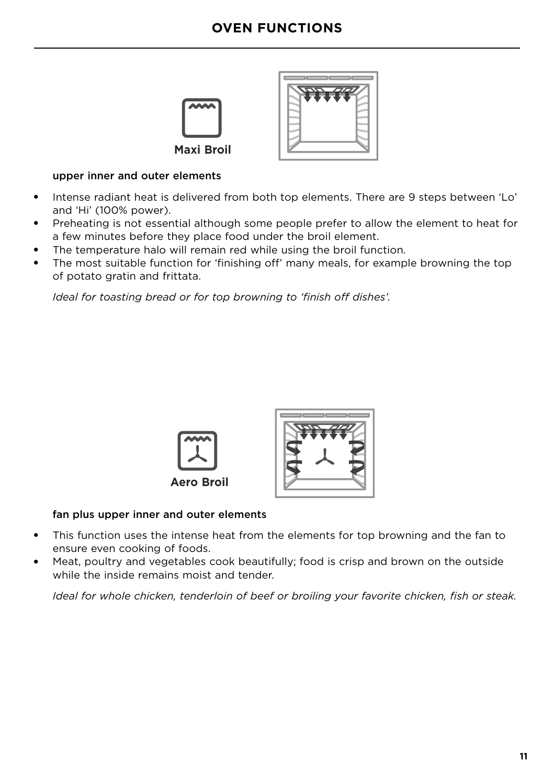## **OVEN FUNCTIONS**





#### upper inner and outer elements

- Intense radiant heat is delivered from both top elements. There are 9 steps between 'Lo' and 'Hi' (100% power).
- Preheating is not essential although some people prefer to allow the element to heat for a few minutes before they place food under the broil element.
- The temperature halo will remain red while using the broil function.
- The most suitable function for 'finishing off' many meals, for example browning the top of potato gratin and frittata.

*Ideal for toasting bread or for top browning to 'finish off dishes'.*





#### fan plus upper inner and outer elements

- This function uses the intense heat from the elements for top browning and the fan to ensure even cooking of foods.
- Meat, poultry and vegetables cook beautifully; food is crisp and brown on the outside while the inside remains moist and tender.

*Ideal for whole chicken, tenderloin of beef or broiling your favorite chicken, fish or steak.*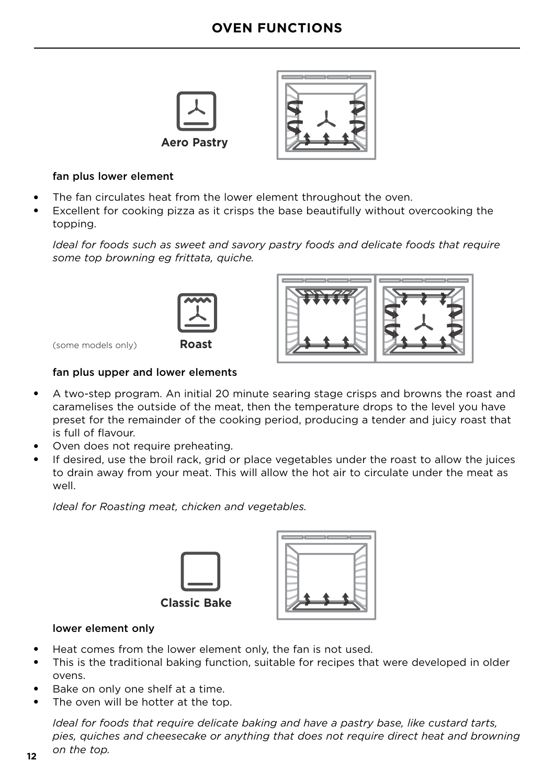



#### fan plus lower element

- The fan circulates heat from the lower element throughout the oven.
- Excellent for cooking pizza as it crisps the base beautifully without overcooking the topping.

*Ideal for foods such as sweet and savory pastry foods and delicate foods that require some top browning eg frittata, quiche.* 



(some models only)

#### fan plus upper and lower elements

- A two-step program. An initial 20 minute searing stage crisps and browns the roast and caramelises the outside of the meat, then the temperature drops to the level you have preset for the remainder of the cooking period, producing a tender and juicy roast that is full of flavour.
- Oven does not require preheating.
- If desired, use the broil rack, grid or place vegetables under the roast to allow the juices to drain away from your meat. This will allow the hot air to circulate under the meat as well.

*Ideal for Roasting meat, chicken and vegetables.* 



#### lower element only

- Heat comes from the lower element only, the fan is not used.
- This is the traditional baking function, suitable for recipes that were developed in older ovens.
- Bake on only one shelf at a time.
- The oven will be hotter at the top.

*Ideal for foods that require delicate baking and have a pastry base, like custard tarts, pies, quiches and cheesecake or anything that does not require direct heat and browning on the top.*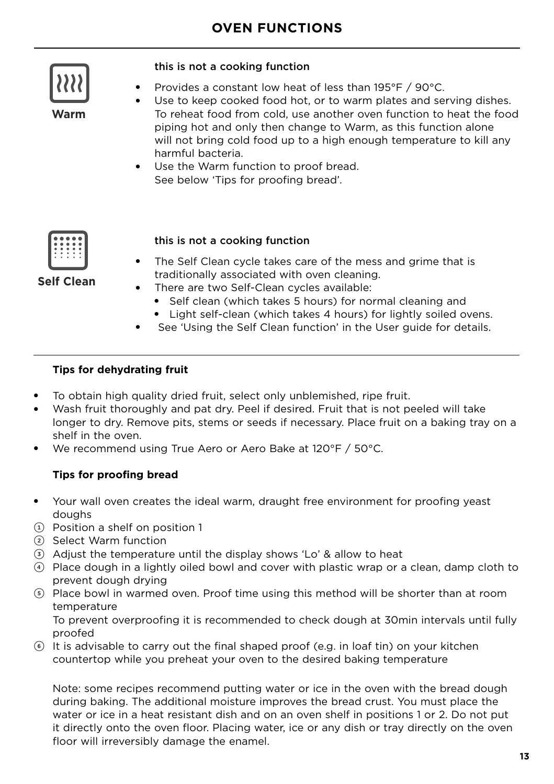

**Warm**

#### this is not a cooking function

- Provides a constant low heat of less than 195°F / 90°C.
- Use to keep cooked food hot, or to warm plates and serving dishes. To reheat food from cold, use another oven function to heat the food piping hot and only then change to Warm, as this function alone will not bring cold food up to a high enough temperature to kill any harmful bacteria.
- Use the Warm function to proof bread. See below 'Tips for proofing bread'.



this is not a cooking function

- The Self Clean cycle takes care of the mess and grime that is traditionally associated with oven cleaning.
- There are two Self-Clean cycles available:
	- Self clean (which takes 5 hours) for normal cleaning and
	- Light self-clean (which takes 4 hours) for lightly soiled ovens.
- See 'Using the Self Clean function' in the User guide for details.

#### **Tips for dehydrating fruit**

- To obtain high quality dried fruit, select only unblemished, ripe fruit.
- Wash fruit thoroughly and pat dry. Peel if desired. Fruit that is not peeled will take longer to dry. Remove pits, stems or seeds if necessary. Place fruit on a baking tray on a shelf in the oven.
- We recommend using True Aero or Aero Bake at 120°F / 50°C.

#### **Tips for proofing bread**

- Your wall oven creates the ideal warm, draught free environment for proofing yeast doughs
- 1 Position a shelf on position 1
- 2 Select Warm function
- 3 Adjust the temperature until the display shows 'Lo' & allow to heat
- 4 Place dough in a lightly oiled bowl and cover with plastic wrap or a clean, damp cloth to prevent dough drying
- 5 Place bowl in warmed oven. Proof time using this method will be shorter than at room temperature

 To prevent overproofing it is recommended to check dough at 30min intervals until fully proofed

6 It is advisable to carry out the final shaped proof (e.g. in loaf tin) on your kitchen countertop while you preheat your oven to the desired baking temperature

Note: some recipes recommend putting water or ice in the oven with the bread dough during baking. The additional moisture improves the bread crust. You must place the water or ice in a heat resistant dish and on an oven shelf in positions 1 or 2. Do not put it directly onto the oven floor. Placing water, ice or any dish or tray directly on the oven floor will irreversibly damage the enamel.

**Self Clean**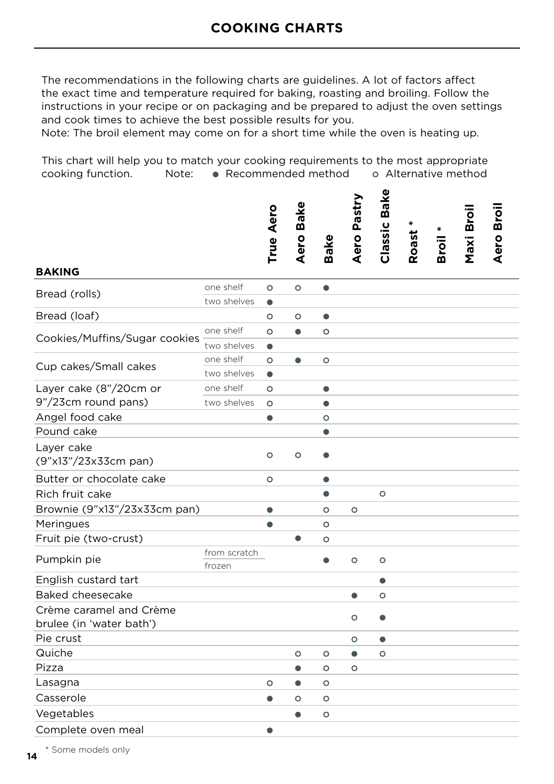The recommendations in the following charts are guidelines. A lot of factors affect the exact time and temperature required for baking, roasting and broiling. Follow the instructions in your recipe or on packaging and be prepared to adjust the oven settings and cook times to achieve the best possible results for you.

Note: The broil element may come on for a short time while the oven is heating up.

This chart will help you to match your cooking requirements to the most appropriate cooking function. Note: • Recommended method o Alternative method

|                                                     |                        | True Aero | <b>Bake</b><br>Aero I | <b>Bake</b> | Aero Pastry | Classic Bake | ₩<br>Roast | Broil | Maxi Broil | Aero Broil |  |
|-----------------------------------------------------|------------------------|-----------|-----------------------|-------------|-------------|--------------|------------|-------|------------|------------|--|
| <b>BAKING</b>                                       |                        |           |                       |             |             |              |            |       |            |            |  |
| Bread (rolls)                                       | one shelf              | $\circ$   | $\circ$               | $\bullet$   |             |              |            |       |            |            |  |
|                                                     | two shelves            | $\bullet$ |                       |             |             |              |            |       |            |            |  |
| Bread (loaf)                                        |                        | $\circ$   | $\circ$               | $\bullet$   |             |              |            |       |            |            |  |
| Cookies/Muffins/Sugar cookies                       | one shelf              | $\circ$   | $\bullet$             | $\circ$     |             |              |            |       |            |            |  |
|                                                     | two shelves            | ٠         |                       |             |             |              |            |       |            |            |  |
| Cup cakes/Small cakes                               | one shelf              | O         | $\bullet$             | $\circ$     |             |              |            |       |            |            |  |
|                                                     | two shelves            | ٠         |                       |             |             |              |            |       |            |            |  |
| Layer cake (8"/20cm or                              | one shelf              | $\circ$   |                       | $\bullet$   |             |              |            |       |            |            |  |
| 9"/23cm round pans)                                 | two shelves            | $\circ$   |                       | Δ           |             |              |            |       |            |            |  |
| Angel food cake                                     |                        | $\bullet$ |                       | $\circ$     |             |              |            |       |            |            |  |
| Pound cake                                          |                        |           |                       |             |             |              |            |       |            |            |  |
| Layer cake<br>(9"x13"/23x33cm pan)                  |                        | $\circ$   | $\circ$               |             |             |              |            |       |            |            |  |
| Butter or chocolate cake                            |                        | $\circ$   |                       |             |             |              |            |       |            |            |  |
| Rich fruit cake                                     |                        |           |                       | ٠           |             | $\circ$      |            |       |            |            |  |
| Brownie (9"x13"/23x33cm pan)                        |                        | $\bullet$ |                       | $\circ$     | $\circ$     |              |            |       |            |            |  |
| Meringues                                           |                        | $\bullet$ |                       | $\circ$     |             |              |            |       |            |            |  |
| Fruit pie (two-crust)                               |                        |           | $\bullet$             | $\circ$     |             |              |            |       |            |            |  |
| Pumpkin pie                                         | from scratch<br>frozen |           |                       | $\bullet$   | $\circ$     | $\circ$      |            |       |            |            |  |
| English custard tart                                |                        |           |                       |             |             |              |            |       |            |            |  |
| Baked cheesecake                                    |                        |           |                       |             | $\bullet$   | $\circ$      |            |       |            |            |  |
| Crème caramel and Crème<br>brulee (in 'water bath') |                        |           |                       |             | $\circ$     |              |            |       |            |            |  |
| Pie crust                                           |                        |           |                       |             | O           |              |            |       |            |            |  |
| Quiche                                              |                        |           | $\circ$               | $\circ$     | $\bullet$   | $\circ$      |            |       |            |            |  |
| Pizza                                               |                        |           | $\bullet$             | $\circ$     | $\circ$     |              |            |       |            |            |  |
| Lasagna                                             |                        | O         | $\bullet$             | O           |             |              |            |       |            |            |  |
| Casserole                                           |                        | $\bullet$ | $\circ$               | $\circ$     |             |              |            |       |            |            |  |
| Vegetables                                          |                        |           |                       | $\circ$     |             |              |            |       |            |            |  |
| Complete oven meal                                  |                        |           |                       |             |             |              |            |       |            |            |  |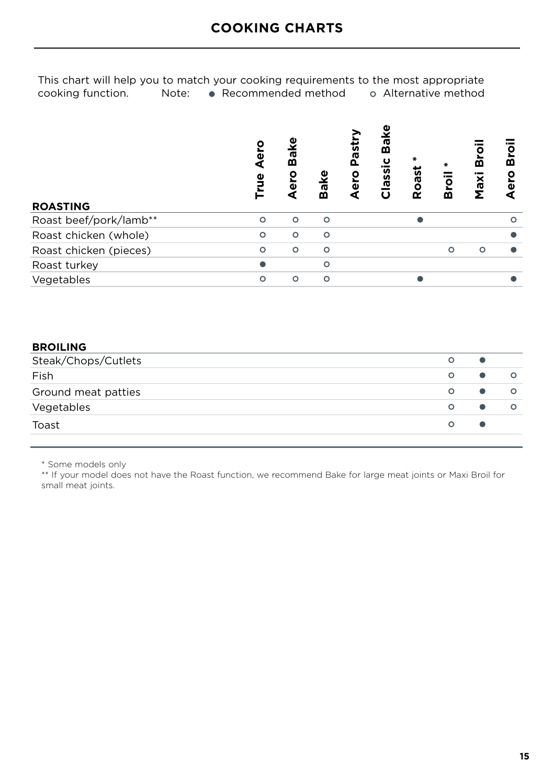This chart will help you to match your cooking requirements to the most appropriate cooking function. Note:  $\bullet$  Recommended method  $\bullet$  Alternative method  $\bullet$  Recommended method

| <b>ROASTING</b>        | δ<br>ō<br><b>Prue</b> | Bake<br>မ္မွ | Bake     | na<br>Bai<br>lassi | ∗<br>Roast | ō<br>m   | മ<br>Maxi | ō<br>≃<br>ω |
|------------------------|-----------------------|--------------|----------|--------------------|------------|----------|-----------|-------------|
| Roast beef/pork/lamb** | Ω                     | $\circ$      | $\circ$  |                    |            |          |           | ∩           |
| Roast chicken (whole)  | Ω                     | O            | $\circ$  |                    |            |          |           |             |
| Roast chicken (pieces) | $\circ$               | $\circ$      | $\circ$  |                    |            | $\Omega$ | $\circ$   |             |
| Roast turkey           |                       |              | $\Omega$ |                    |            |          |           |             |
| Vegetables             | റ                     | Ω            | Ω        |                    |            |          |           |             |

#### **BROILING**

| Steak/Chops/Cutlets | $\circ$ |         |
|---------------------|---------|---------|
| Fish                | $\circ$ | $\circ$ |
| Ground meat patties | $\circ$ | $\circ$ |
| Vegetables          | $\circ$ |         |
| Toast               | O       |         |

\* Some models only

 \*\* If your model does not have the Roast function, we recommend Bake for large meat joints or Maxi Broil for small meat joints.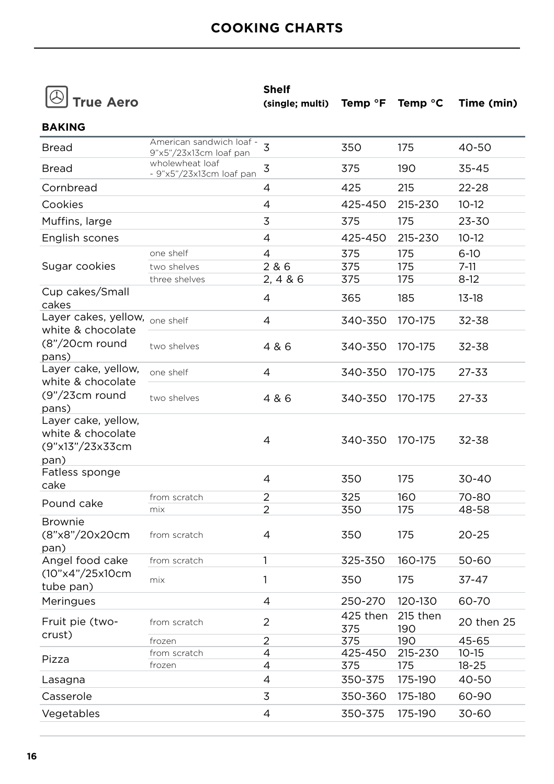|  | $ \circledcirc $ True Aerc |  |
|--|----------------------------|--|
|--|----------------------------|--|

**Shelf** 

| (single; multi) Temp °F Temp °C Time (min) |  |  |
|--------------------------------------------|--|--|
|                                            |  |  |

| <b>BAKING</b>                                                       |                                                    |                |                 |                 |            |
|---------------------------------------------------------------------|----------------------------------------------------|----------------|-----------------|-----------------|------------|
| <b>Bread</b>                                                        | American sandwich loaf -<br>9"x5"/23x13cm loaf pan | 3              | 350             | 175             | 40-50      |
| <b>Bread</b>                                                        | wholewheat loaf<br>- 9"x5"/23x13cm loaf pan        | 3              | 375             | 190             | 35-45      |
| Cornbread                                                           |                                                    | 4              | 425             | 215             | $22 - 28$  |
| Cookies                                                             |                                                    | 4              | 425-450         | 215-230         | $10-12$    |
| Muffins, large                                                      |                                                    | 3              | 375             | 175             | 23-30      |
| English scones                                                      |                                                    | 4              | 425-450         | 215-230         | $10 - 12$  |
|                                                                     | one shelf                                          | 4              | 375             | 175             | $6 - 10$   |
| Sugar cookies                                                       | two shelves                                        | 2 & 6          | 375             | 175             | $7 - 11$   |
|                                                                     | three shelves                                      | 2, 4 & 6       | 375             | 175             | $8-12$     |
| Cup cakes/Small<br>cakes                                            |                                                    | 4              | 365             | 185             | $13 - 18$  |
| Layer cakes, yellow, one shelf<br>white & chocolate                 |                                                    | 4              | 340-350         | 170-175         | 32-38      |
| (8"/20cm round<br>pans)                                             | two shelves                                        | 4 & 6          | 340-350         | 170-175         | 32-38      |
| Layer cake, yellow,                                                 | one shelf                                          | 4              | 340-350         | 170-175         | $27 - 33$  |
| white & chocolate<br>$(9" / 23$ cm round<br>pans)                   | two shelves                                        | 4 & 6          | 340-350         | 170-175         | 27-33      |
| Layer cake, yellow,<br>white & chocolate<br>(9"x13"/23x33cm<br>pan) |                                                    | 4              | 340-350         | 170-175         | 32-38      |
| Fatless sponge<br>cake                                              |                                                    | 4              | 350             | 175             | $30 - 40$  |
| Pound cake                                                          | from scratch                                       | $\overline{2}$ | 325             | 160             | 70-80      |
|                                                                     | mix                                                | 2              | 350             | 175             | 48-58      |
| <b>Brownie</b><br>(8"x8"/20x20cm<br>pan)                            | from scratch                                       | 4              | 350             | 175             | $20 - 25$  |
| Angel food cake                                                     | from scratch                                       | $\mathbf{1}$   | 325-350         | 160-175         | 50-60      |
| (10"x4"/25x10cm<br>tube pan)                                        | mix                                                | 1              | 350             | 175             | $37 - 47$  |
| Meringues                                                           |                                                    | 4              | 250-270         | 120-130         | 60-70      |
| Fruit pie (two-                                                     | from scratch                                       | $\overline{2}$ | 425 then<br>375 | 215 then<br>190 | 20 then 25 |
| crust)                                                              | frozen                                             | $\overline{2}$ | 375             | 190             | 45-65      |
| Pizza                                                               | from scratch                                       | 4              | 425-450         | 215-230         | $10 - 15$  |
|                                                                     | frozen                                             | 4              | 375             | 175             | $18 - 25$  |
| Lasagna                                                             |                                                    | 4              | 350-375         | 175-190         | 40-50      |
| Casserole                                                           |                                                    | 3              | 350-360         | 175-180         | 60-90      |
| Vegetables                                                          |                                                    | 4              | 350-375         | 175-190         | 30-60      |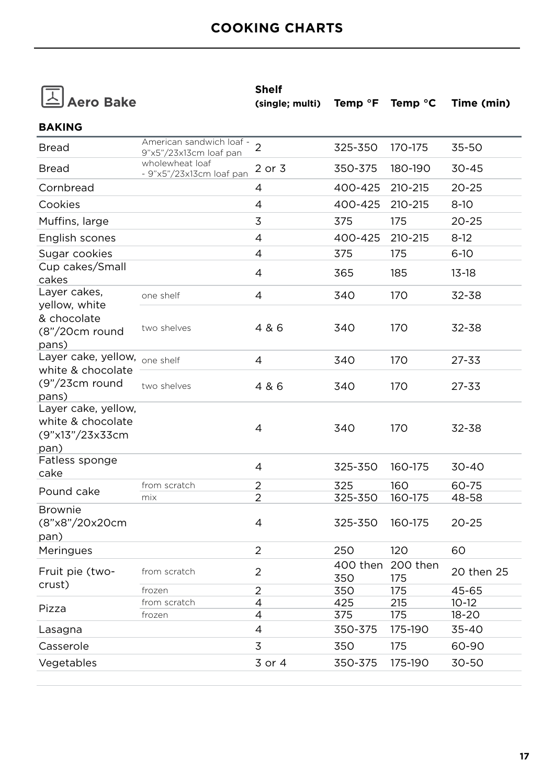|  | $\triangle$ Aero Bake |  |
|--|-----------------------|--|
|--|-----------------------|--|

| <b>Shelf</b>                                                       |  |  |
|--------------------------------------------------------------------|--|--|
| (single; multi) Temp ${}^{\circ}$ F Temp ${}^{\circ}$ C Time (min) |  |  |

| 9"x5"/23x13cm loaf pan                      | $\overline{2}$                                          | 325-350                                              | 170-175               | 35-50                             |
|---------------------------------------------|---------------------------------------------------------|------------------------------------------------------|-----------------------|-----------------------------------|
| wholewheat loaf<br>- 9"x5"/23x13cm loaf pan | 2 or 3                                                  | 350-375                                              | 180-190               | 30-45                             |
|                                             | 4                                                       | 400-425                                              | 210-215               | 20-25                             |
|                                             | 4                                                       | 400-425                                              | 210-215               | $8-10$                            |
|                                             | 3                                                       | 375                                                  | 175                   | $20 - 25$                         |
|                                             | 4                                                       | 400-425                                              | 210-215               | $8-12$                            |
|                                             | 4                                                       | 375                                                  | 175                   | $6 - 10$                          |
|                                             | 4                                                       | 365                                                  | 185                   | $13 - 18$                         |
| one shelf                                   | 4                                                       | 340                                                  | 170                   | 32-38                             |
| two shelves                                 | 4 & 6                                                   | 340                                                  | 170                   | 32-38                             |
|                                             | 4                                                       | 340                                                  | 170                   | 27-33                             |
| two shelves                                 | 4 & 6                                                   | 340                                                  | 170                   | 27-33                             |
|                                             | 4                                                       | 340                                                  | 170                   | 32-38                             |
|                                             | 4                                                       | 325-350                                              | 160-175               | 30-40                             |
| from scratch                                | $\overline{2}$                                          | 325                                                  | 160                   | 60-75                             |
| mix                                         | $\overline{2}$                                          | 325-350                                              | 160-175               | 48-58                             |
|                                             | 4                                                       | 325-350                                              | 160-175               | $20 - 25$                         |
|                                             | $\overline{2}$                                          | 250                                                  | 120                   | 60                                |
| from scratch                                | $\overline{2}$                                          | 350                                                  | 200 then<br>175       | 20 then 25                        |
| frozen                                      | $\overline{2}$                                          | 350                                                  | 175                   | 45-65                             |
|                                             |                                                         |                                                      |                       | $10-12$                           |
|                                             |                                                         |                                                      |                       | $18 - 20$                         |
|                                             |                                                         |                                                      |                       | 35-40                             |
|                                             | 3                                                       | 350                                                  | 175                   | 60-90                             |
|                                             | 3 or 4                                                  | 350-375                                              | 175-190               | 30-50                             |
|                                             | Layer cake, yellow, one shelf<br>from scratch<br>frozen | American sandwich loaf -<br>$\overline{4}$<br>4<br>4 | 425<br>375<br>350-375 | 400 then<br>215<br>175<br>175-190 |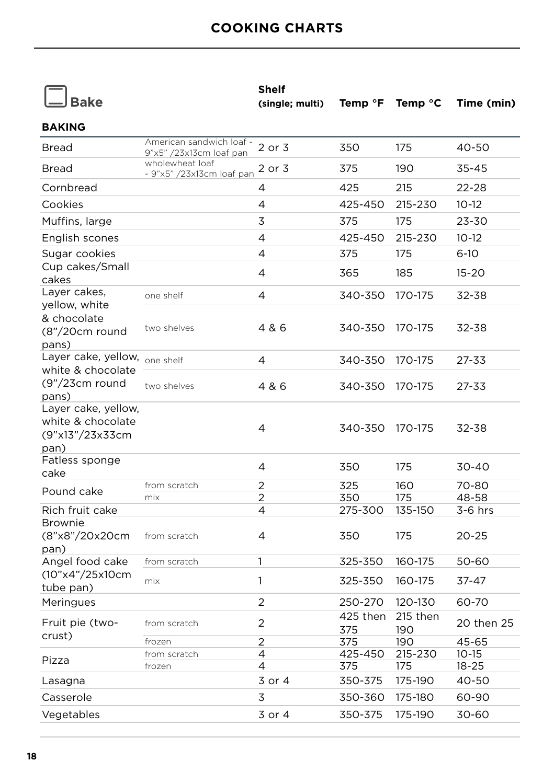|                                                                     |                                                     | <b>Shelf</b>    |                 |                  |            |
|---------------------------------------------------------------------|-----------------------------------------------------|-----------------|-----------------|------------------|------------|
| <b>Bake</b>                                                         |                                                     | (single; multi) | Temp °F         | Temp $\degree$ C | Time (min) |
| <b>BAKING</b>                                                       |                                                     |                 |                 |                  |            |
| <b>Bread</b>                                                        | American sandwich loaf -<br>9"x5" /23x13cm loaf pan | 2 or 3          | 350             | 175              | 40-50      |
| <b>Bread</b>                                                        | wholewheat loaf<br>- 9"x5" /23x13cm loaf pan        | 2 or 3          | 375             | 190              | 35-45      |
| Cornbread                                                           |                                                     | 4               | 425             | 215              | 22-28      |
| Cookies                                                             |                                                     | 4               | 425-450         | 215-230          | $10-12$    |
| Muffins, large                                                      |                                                     | 3               | 375             | 175              | 23-30      |
| English scones                                                      |                                                     | 4               | 425-450         | 215-230          | $10-12$    |
| Sugar cookies                                                       |                                                     | 4               | 375             | 175              | $6 - 10$   |
| Cup cakes/Small<br>cakes                                            |                                                     | 4               | 365             | 185              | $15 - 20$  |
| Layer cakes,                                                        | one shelf                                           | 4               | 340-350         | 170-175          | 32-38      |
| yellow, white<br>& chocolate<br>$(8n/20cm$ round<br>pans)           | two shelves                                         | 4 & 6           | 340-350         | 170-175          | 32-38      |
| Layer cake, yellow, one shelf                                       |                                                     | 4               | 340-350         | 170-175          | $27 - 33$  |
| white & chocolate<br>$(9\text{''}/23cm$ round<br>pans)              | two shelves                                         | 4 & 6           | 340-350         | 170-175          | 27-33      |
| Layer cake, yellow,<br>white & chocolate<br>(9"x13"/23x33cm<br>pan) |                                                     | 4               | 340-350         | 170-175          | 32-38      |
| Fatless sponge<br>cake                                              |                                                     | 4               | 350             | 175              | 30-40      |
| Pound cake                                                          | from scratch                                        | $\overline{2}$  | 325             | 160              | 70-80      |
|                                                                     | mix                                                 | 2               | 350             | 175              | 48-58      |
| Rich fruit cake                                                     |                                                     | 4               | 275-300         | 135-150          | $3-6$ hrs  |
| <b>Brownie</b><br>(8"x8"/20x20cm<br>pan)                            | from scratch                                        | 4               | 350             | 175              | 20-25      |
| Angel food cake                                                     | from scratch                                        | 1               | 325-350         | 160-175          | 50-60      |
| (10"x4"/25x10cm<br>tube pan)                                        | mix                                                 | 1               | 325-350         | 160-175          | 37-47      |
| Meringues                                                           |                                                     | 2               | 250-270         | 120-130          | 60-70      |
| Fruit pie (two-                                                     | from scratch                                        | 2               | 425 then<br>375 | 215 then<br>190  | 20 then 25 |
| crust)                                                              | frozen                                              | $\overline{2}$  | 375             | 190              | 45-65      |
| Pizza                                                               | from scratch                                        | 4               | 425-450         | 215-230          | $10 - 15$  |
|                                                                     | frozen                                              | 4               | 375             | 175              | $18 - 25$  |
| Lasagna                                                             |                                                     | 3 or 4          | 350-375         | 175-190          | 40-50      |
| Casserole                                                           |                                                     | 3               | 350-360         | 175-180          | 60-90      |
| Vegetables                                                          |                                                     | 3 or 4          | 350-375         | 175-190          | 30-60      |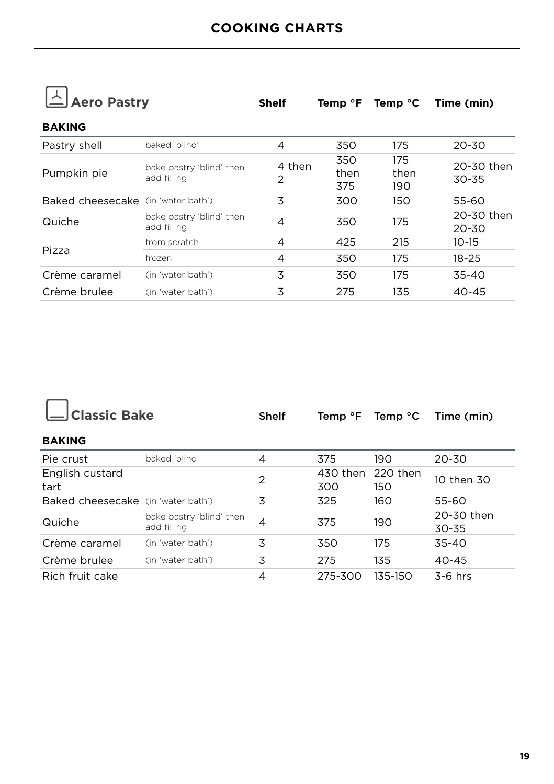

 $\overline{\phantom{0}}$ 

| — www.am                           |                                         | when        | $I = II$           | T                  |                         |  |
|------------------------------------|-----------------------------------------|-------------|--------------------|--------------------|-------------------------|--|
| <b>BAKING</b>                      |                                         |             |                    |                    |                         |  |
| Pastry shell                       | baked 'blind'                           | 4           | 350                | 175                | $20 - 30$               |  |
| Pumpkin pie                        | bake pastry 'blind' then<br>add filling | 4 then<br>2 | 350<br>then<br>375 | 175<br>then<br>190 | 20-30 then<br>30-35     |  |
| Baked cheesecake (in 'water bath') |                                         | 3           | 300                | 150                | 55-60                   |  |
| Quiche                             | bake pastry 'blind' then<br>add filling | 4           | 350                | 175                | 20-30 then<br>$20 - 30$ |  |
|                                    | from scratch                            | 4           | 425                | 215                | $10 - 15$               |  |
| Pizza                              | frozen                                  | 4           | 350                | 175                | $18 - 25$               |  |
| Crème caramel                      | (in 'water bath')                       | 3           | 350                | 175                | $35 - 40$               |  |
| Crème brulee                       | (in 'water bath')                       | 3           | 275                | 135                | $40 - 45$               |  |

| <b>Classic Bake</b>                |                                         | <b>Shelf</b> | Temp <sup>o</sup> F | Temp $\degree$ C | Time (min)              |
|------------------------------------|-----------------------------------------|--------------|---------------------|------------------|-------------------------|
| <b>BAKING</b>                      |                                         |              |                     |                  |                         |
| Pie crust                          | baked 'blind'                           | 4            | 375                 | 190              | $20 - 30$               |
| English custard<br>tart            |                                         | 2            | 430 then<br>300     | 220 then<br>150  | 10 then 30              |
| Baked cheesecake (in 'water bath') |                                         | 3            | 325                 | 160              | 55-60                   |
| Quiche                             | bake pastry 'blind' then<br>add filling | 4            | 375                 | 190              | 20-30 then<br>$30 - 35$ |
| Crème caramel                      | (in 'water bath')                       | 3            | 350                 | 175              | $35 - 40$               |
| Crème brulee                       | (in 'water bath')                       | 3            | 275                 | 135              | $40 - 45$               |
| Rich fruit cake                    |                                         | 4            | 275-300             | 135-150          | $3-6$ hrs               |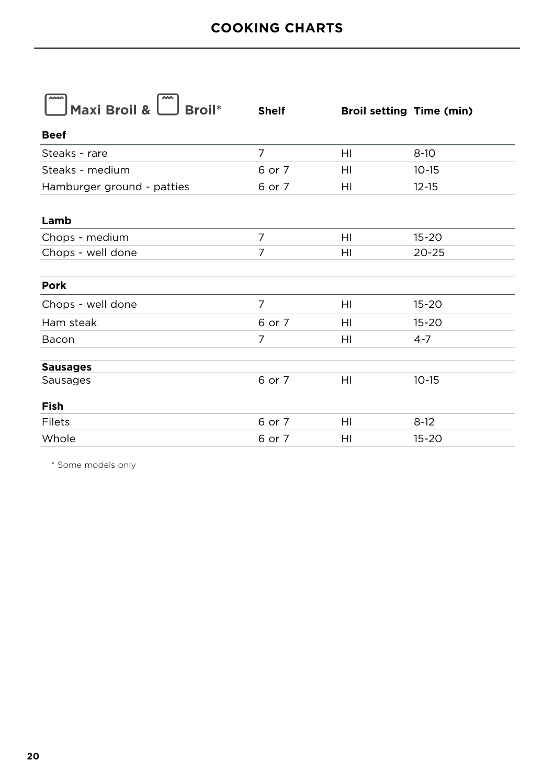| <b>Shelf</b>   | <b>Broil setting Time (min)</b> |           |
|----------------|---------------------------------|-----------|
|                |                                 |           |
| $\overline{7}$ | HI                              | $8-10$    |
| 6 or 7         | HI                              | $10 - 15$ |
| 6 or 7         | HI                              | $12 - 15$ |
|                |                                 |           |
|                |                                 |           |
| $\overline{7}$ | HI                              | $15 - 20$ |
| 7              | HI                              | $20 - 25$ |
|                |                                 |           |
|                |                                 |           |
| $\overline{7}$ | HI                              | $15 - 20$ |
| 6 or 7         | HI                              | $15 - 20$ |
| 7              | HI                              | $4 - 7$   |
|                |                                 |           |
|                |                                 |           |
|                |                                 | $10 - 15$ |
|                |                                 |           |
| 6 or 7         | HI                              | $8-12$    |
| 6 or 7         | HI                              | $15 - 20$ |
|                | 6 or 7                          | HI        |

\* Some models only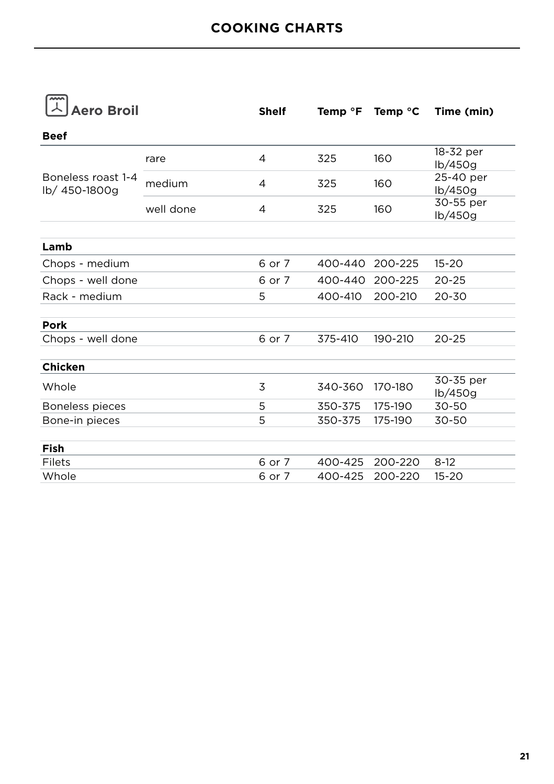| $\sim$<br><b>Aero Broil</b>         |           | <b>Shelf</b> | Temp <sup>o</sup> F | Temp $\degree$ C | Time (min)           |
|-------------------------------------|-----------|--------------|---------------------|------------------|----------------------|
| <b>Beef</b>                         |           |              |                     |                  |                      |
|                                     | rare      | 4            | 325                 | 160              | 18-32 per<br>lb/450g |
| Boneless roast 1-4<br>lb/ 450-1800g | medium    | 4            | 325                 | 160              | 25-40 per<br>lb/450g |
|                                     | well done | 4            | 325                 | 160              | 30-55 per<br>lb/450g |
| Lamb                                |           |              |                     |                  |                      |
| Chops - medium                      |           | 6 or 7       | 400-440             | 200-225          | $15 - 20$            |
| Chops - well done                   |           | 6 or 7       | 400-440             | 200-225          | $20 - 25$            |
| Rack - medium                       |           | 5            | 400-410             | 200-210          | $20 - 30$            |
| Pork                                |           |              |                     |                  |                      |
| Chops - well done                   |           | 6 or 7       | 375-410             | 190-210          | $20 - 25$            |
| <b>Chicken</b>                      |           |              |                     |                  |                      |
| Whole                               |           | 3            | 340-360             | 170-180          | 30-35 per<br>lb/450q |
| Boneless pieces                     |           | 5            | 350-375             | 175-190          | 30-50                |
| Bone-in pieces                      |           | 5            | 350-375             | 175-190          | 30-50                |
| Fish                                |           |              |                     |                  |                      |
| Filets                              |           | 6 or 7       | 400-425             | 200-220          | $8-12$               |
| Whole                               |           | 6 or 7       | 400-425             | 200-220          | $15 - 20$            |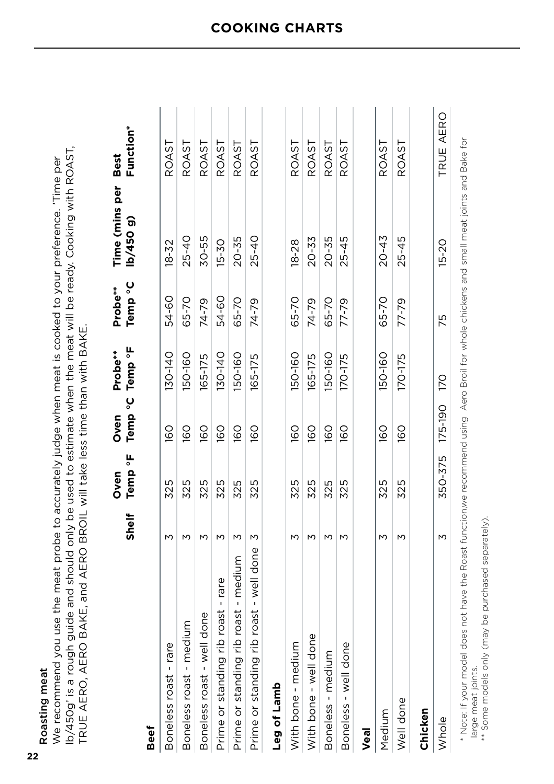**22** Roasting meat

| Roasting meat                                                                                                  |
|----------------------------------------------------------------------------------------------------------------|
| We recommend you use the meat probe to accurately judge when meat is cooked to your preference. 'Time per      |
| lb/450g' is a rough guide and should only be used to estimate when the meat will be ready. Cooking with ROAST, |
| TRUE AERO, AERO BAKE, and AERO BROIL will take less time than with BAKE.                                       |

|                                         | Shelf | Temp °F<br>Oven | Oven                | Temp °C Temp °F<br>Probe** | Temp °C<br>Probe** | Time (mins per Best<br>lb/450 g) | <b>Function*</b> |
|-----------------------------------------|-------|-----------------|---------------------|----------------------------|--------------------|----------------------------------|------------------|
| Beef                                    |       |                 |                     |                            |                    |                                  |                  |
| Boneless roast - rare                   | М     | 325             | 160                 | I30-140                    | 54-60              | $18 - 32$                        | ROAST            |
| Boneless roast - medium                 |       | 325             | 160                 | 150-160                    | 65-70              | $25 - 40$                        | ROAST            |
| Boneless roast - well done              |       | 325             | 160                 | 165-175                    | 74-79              | 30-55                            | ROAST            |
| Prime or standing rib roast - rare      |       | 325             | 160                 | 130-140                    | 54-60              | $15 - 30$                        | ROAST            |
| Prime or standing rib roast - medium    | М     | 325             | 160                 | 150-160                    | 65-70              | 20-35                            | ROAST            |
| Prime or standing rib roast - well done | M     | 325             | 160                 | 165-175                    | 74-79              | 25-40                            | ROAST            |
| Leg of Lamb                             |       |                 |                     |                            |                    |                                  |                  |
| With bone - medium                      | M     | 325             | 160                 | 150-160                    | 65-70              | $18 - 28$                        | ROAST            |
| With bone - well done                   |       | 325             | 160                 | 165-175                    | 74-79              | 20-33                            | ROAST            |
| Boneless - medium                       |       | 325             | 160                 | 150-160                    | 65-70              | $20 - 35$                        | ROAST            |
| Boneless - well done                    | М     | 325             | 160                 | 170-175                    | 77-79              | $25 - 45$                        | ROAST            |
| Veal                                    |       |                 |                     |                            |                    |                                  |                  |
| Medium                                  | М     | 325             | 160                 | 150-160                    | 65-70              | $20 - 43$                        | ROAST            |
| Well done                               | М     | 325             | 160                 | 170-175                    | 77-79              | $25 - 45$                        | ROAST            |
| Chicken                                 |       |                 |                     |                            |                    |                                  |                  |
| Whole                                   | М     |                 | 350-375 175-190 170 |                            | 75                 | $15 - 20$                        | TRUE AERO        |

\*\* Some models only (may be purchased separately).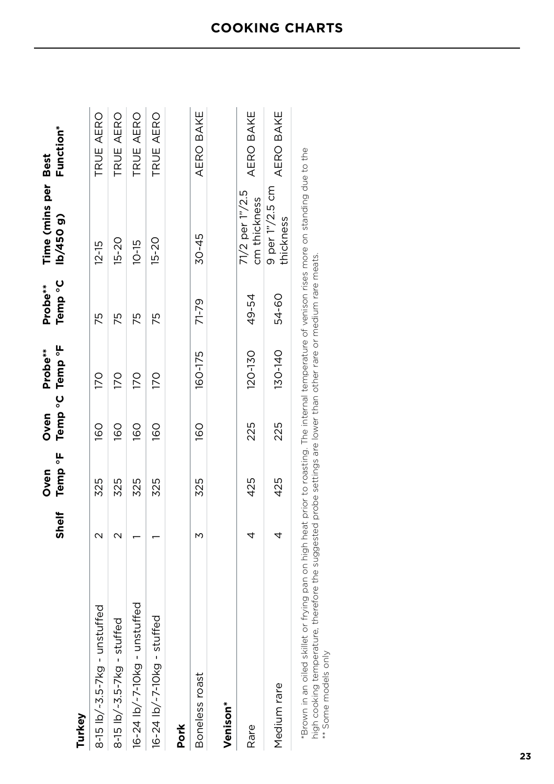|                                                                                                                                                                                                                               | <b>Shelf</b> | Temp °F Temp °C Temp °F<br>Oven | Oven | Probe**          | Temp °C<br>Probe** | Time (mins per Best<br>lb/450 g)          | Function* |
|-------------------------------------------------------------------------------------------------------------------------------------------------------------------------------------------------------------------------------|--------------|---------------------------------|------|------------------|--------------------|-------------------------------------------|-----------|
| Turkey                                                                                                                                                                                                                        |              |                                 |      |                  |                    |                                           |           |
| $8-15$ lb/~3.5-7kg - unstuffed                                                                                                                                                                                                |              | 325                             | 091  | $\overline{170}$ | 75                 | $12 - 15$                                 | TRUE AERO |
| 8-15 $\frac{15}{2.5} - 3.5 - 7$ kg - stuffed                                                                                                                                                                                  |              | 325                             | 160  | 170              | 75                 | $15 - 20$                                 | TRUE AERO |
| $16 - 24$ $1b$ /-7-10kg - unstuffed                                                                                                                                                                                           |              | 325                             | 160  | 170              | 75                 | $10 - 15$                                 | TRUE AERO |
| 16-24 lb/~7-10kg - stuffed                                                                                                                                                                                                    |              | 325                             | 160  | 170              | 52                 | $15 - 20$                                 | TRUE AERO |
| Pork                                                                                                                                                                                                                          |              |                                 |      |                  |                    |                                           |           |
| Boneless roast                                                                                                                                                                                                                | М            | 325                             | 160  | 160-175          | 71-79              | $30 - 45$                                 | AERO BAKE |
| Venison*                                                                                                                                                                                                                      |              |                                 |      |                  |                    |                                           |           |
| Rare                                                                                                                                                                                                                          | 4            | 425                             | 225  | 120-130          | 49-54              | $71/2$ per $1\degree/2.5$<br>cm thickness | AERO BAKE |
| Medium rare                                                                                                                                                                                                                   | 4            | 425                             | 225  | 130-140          | 54-60              | 9 per 1"/2.5 cm<br>thickness              | AERO BAKE |
| s strates that the strategy of the strategy of the strategy of the strategy of the strategy of the strategy of the strategy of the strategy of the strategy of the strategy of the strategy of the strategy of the strategy o |              |                                 |      |                  |                    |                                           |           |

\*Brown in an oiled skillet or frying pan on high heat prior to roasting. The internal temperature of venison rises more on standing due to the<br>high cooking temperature, therefore the suggested probe settings are lower than \*Brown in an oiled skillet or frying pan on high heat prior to roasting. The internal temperature of venison rises more on standing due to the high cooking temperature, therefore the suggested probe settings are lower than other rare or medium rare meats.

\*\* Some models only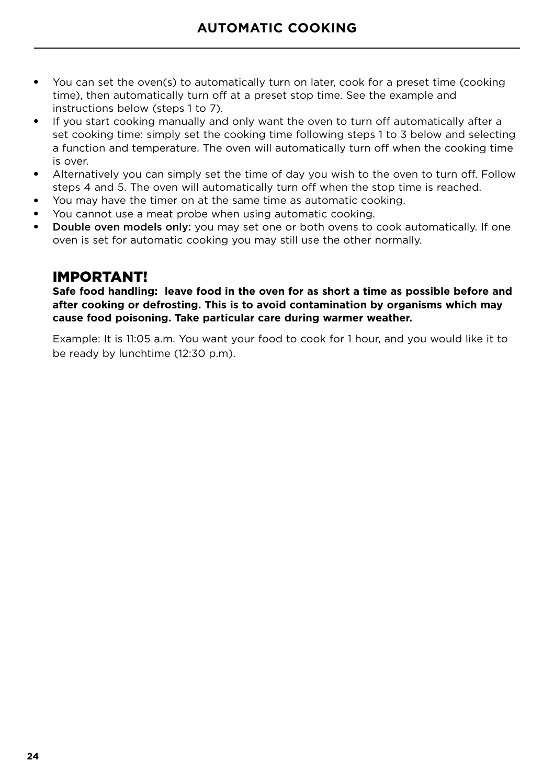- You can set the oven(s) to automatically turn on later, cook for a preset time (cooking time), then automatically turn off at a preset stop time. See the example and instructions below (steps 1 to 7).
- If you start cooking manually and only want the oven to turn off automatically after a set cooking time: simply set the cooking time following steps 1 to 3 below and selecting a function and temperature. The oven will automatically turn off when the cooking time is over.
- Alternatively you can simply set the time of day you wish to the oven to turn off. Follow steps 4 and 5. The oven will automatically turn off when the stop time is reached.
- You may have the timer on at the same time as automatic cooking.
- You cannot use a meat probe when using automatic cooking.
- **Double oven models only:** you may set one or both ovens to cook automatically. If one oven is set for automatic cooking you may still use the other normally.

### IMPORTANT!

**Safe food handling: leave food in the oven for as short a time as possible before and after cooking or defrosting. This is to avoid contamination by organisms which may cause food poisoning. Take particular care during warmer weather.**

Example: It is 11:05 a.m. You want your food to cook for 1 hour, and you would like it to be ready by lunchtime (12:30 p.m).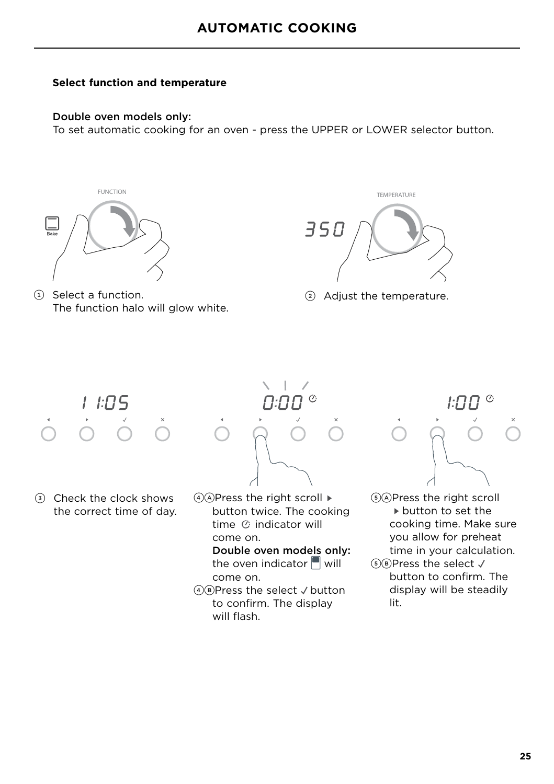#### **Select function and temperature**

#### Double oven models only:

To set automatic cooking for an oven - press the UPPER or LOWER selector button.



1 Select a function. 2 Adjust the temperature. The function halo will glow white.



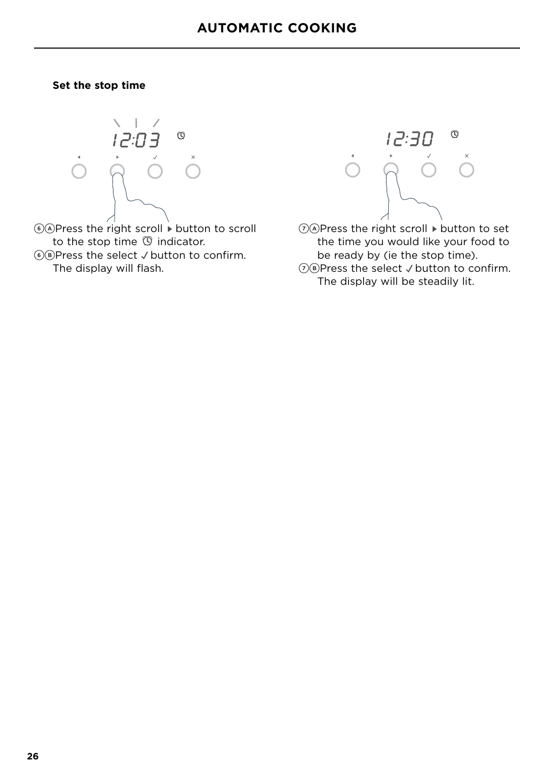#### **Set the stop time**



 $\widehat{A}(\widehat{A})$ Press the right scroll  $\stackrel{\cdot}{\triangleright}$  button to scroll to the stop time  $\mathbb O$  indicator.  $(6)$ B)Press the select  $\checkmark$  button to confirm. The display will flash.



 $(7)$  ( $\lambda$ ) Press the right scroll  $\blacktriangleright$  button to set the time you would like your food to be ready by (ie the stop time).  $(7)$ B)Press the select  $\checkmark$  button to confirm.

The display will be steadily lit.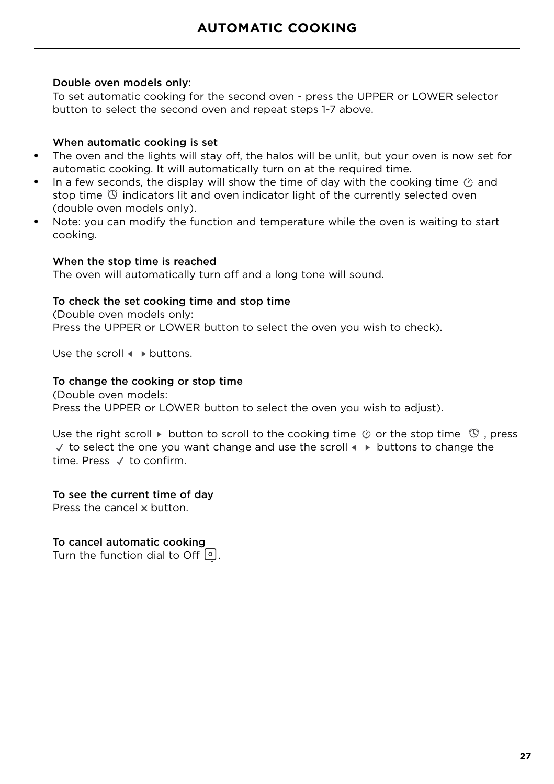#### Double oven models only:

To set automatic cooking for the second oven - press the UPPER or LOWER selector button to select the second oven and repeat steps 1-7 above.

#### When automatic cooking is set

- The oven and the lights will stay off, the halos will be unlit, but your oven is now set for automatic cooking. It will automatically turn on at the required time.
- **•** In a few seconds, the display will show the time of day with the cooking time  $\oslash$  and stop time  $\mathbb O$  indicators lit and oven indicator light of the currently selected oven (double oven models only).
- Note: you can modify the function and temperature while the oven is waiting to start cooking.

#### When the stop time is reached

The oven will automatically turn off and a long tone will sound.

#### To check the set cooking time and stop time

(Double oven models only: Press the UPPER or LOWER button to select the oven you wish to check).

Use the scroll  $\triangle$  buttons.

#### To change the cooking or stop time

(Double oven models: Press the UPPER or LOWER button to select the oven you wish to adjust).

Use the right scroll  $\triangleright$  button to scroll to the cooking time  $\oslash$  or the stop time  $\oslash$ , press  $\sqrt{ }$  to select the one you want change and use the scroll  $\rightarrow$  buttons to change the time. Press  $\sqrt{t}$  to confirm.

#### To see the current time of day

Press the cancel x button.

To cancel automatic cooking Turn the function dial to Off  $\lceil \cdot \rceil$ .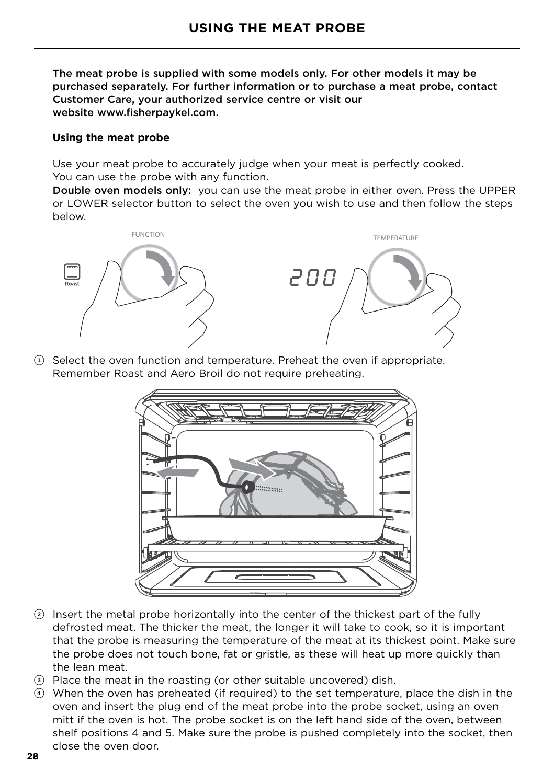The meat probe is supplied with some models only. For other models it may be purchased separately. For further information or to purchase a meat probe, contact Customer Care, your authorized service centre or visit our website www.fisherpaykel.com.

#### **Using the meat probe**

Use your meat probe to accurately judge when your meat is perfectly cooked. You can use the probe with any function.

Double oven models only: you can use the meat probe in either oven. Press the UPPER or LOWER selector button to select the oven you wish to use and then follow the steps below.



 $(1)$  Select the oven function and temperature. Preheat the oven if appropriate. Remember Roast and Aero Broil do not require preheating.



- 2 Insert the metal probe horizontally into the center of the thickest part of the fully defrosted meat. The thicker the meat, the longer it will take to cook, so it is important that the probe is measuring the temperature of the meat at its thickest point. Make sure the probe does not touch bone, fat or gristle, as these will heat up more quickly than the lean meat.
- 3 Place the meat in the roasting (or other suitable uncovered) dish.
- 4 When the oven has preheated (if required) to the set temperature, place the dish in the oven and insert the plug end of the meat probe into the probe socket, using an oven mitt if the oven is hot. The probe socket is on the left hand side of the oven, between shelf positions 4 and 5. Make sure the probe is pushed completely into the socket, then close the oven door.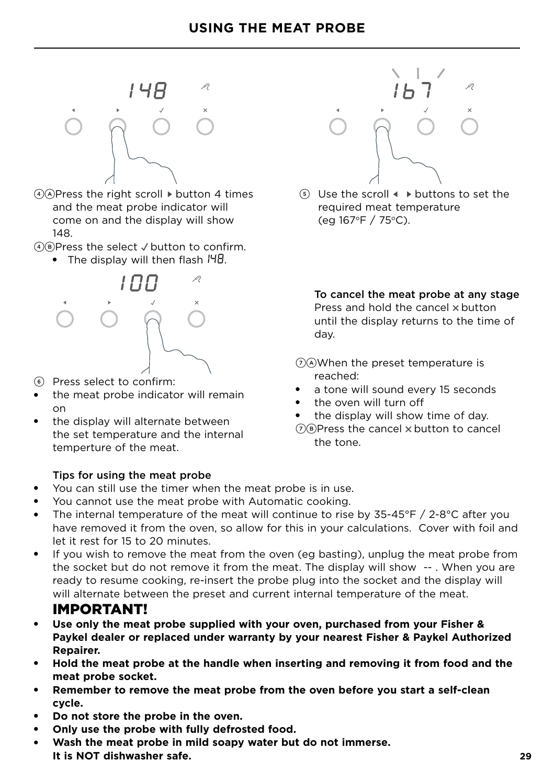

- $(4)$ APress the right scroll  $\blacktriangleright$  button 4 times and the meat probe indicator will come on and the display will show 148.
- $(4)$ B)Press the select  $\vee$  button to confirm.
	- The display will then flash  $H\Box G$ .



- 6 Press select to confirm:
- the meat probe indicator will remain on
- the display will alternate between the set temperature and the internal temperture of the meat.

#### Tips for using the meat probe

- You can still use the timer when the meat probe is in use.
- You cannot use the meat probe with Automatic cooking.
- The internal temperature of the meat will continue to rise by  $35-45^{\circ}F / 2-8^{\circ}C$  after you have removed it from the oven, so allow for this in your calculations. Cover with foil and let it rest for 15 to 20 minutes.
- If you wish to remove the meat from the oven (eg basting), unplug the meat probe from the socket but do not remove it from the meat. The display will show -- . When you are ready to resume cooking, re-insert the probe plug into the socket and the display will will alternate between the preset and current internal temperature of the meat.

### IMPORTANT!

- Use only the meat probe supplied with your oven, purchased from your Fisher & **Paykel dealer or replaced under warranty by your nearest Fisher & Paykel Authorized Repairer.**
- **Hold the meat probe at the handle when inserting and removing it from food and the meat probe socket.**
- **Remember to remove the meat probe from the oven before you start a self-clean cycle.**
- Do not store the probe in the oven.
- **Only use the probe with fully defrosted food.**
- Wash the meat probe in mild soapy water but do not immerse. **It is NOT dishwasher safe.**



 $(5)$  Use the scroll  $\triangle$  buttons to set the required meat temperature (eg  $167^{\circ}F / 75^{\circ}C$ ).

To cancel the meat probe at any stage Press and hold the cancel x button until the display returns to the time of day.

7AWhen the preset temperature is reached:

- a tone will sound every 15 seconds
- the oven will turn off
- the display will show time of day.
- $(7)$ B)Press the cancel  $\times$  button to cancel the tone.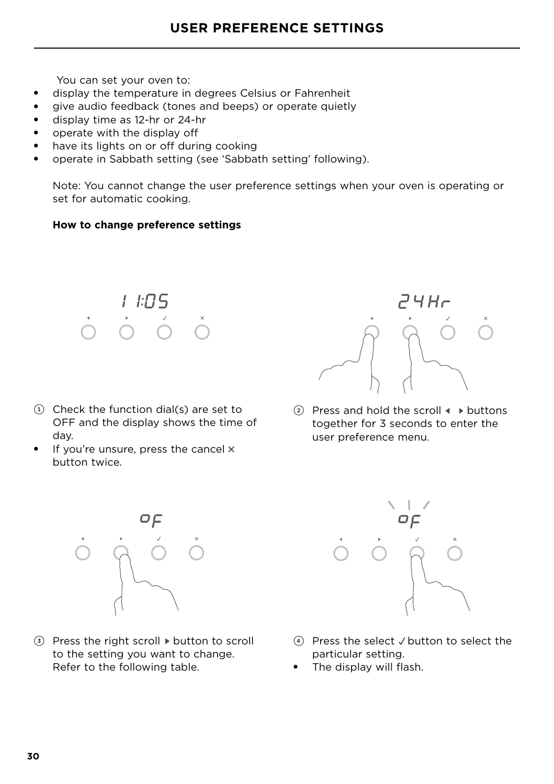You can set your oven to:

- display the temperature in degrees Celsius or Fahrenheit
- give audio feedback (tones and beeps) or operate quietly
- display time as 12-hr or 24-hr
- operate with the display off
- have its lights on or off during cooking
- operate in Sabbath setting (see 'Sabbath setting' following).

Note: You cannot change the user preference settings when your oven is operating or set for automatic cooking.

#### **How to change preference settings**



- $(1)$  Check the function dial(s) are set to OFF and the display shows the time of day.
- $\bullet$  If you're unsure, press the cancel  $\times$ button twice.

24Hr

2 Press and hold the scroll  $\blacklozenge$   $\blacktriangleright$  buttons together for 3 seconds to enter the user preference menu.



 $\circled{3}$  Press the right scroll  $\triangleright$  button to scroll to the setting you want to change. Refer to the following table.



- $(4)$  Press the select  $\sqrt{2}$  button to select the particular setting.
- The display will flash.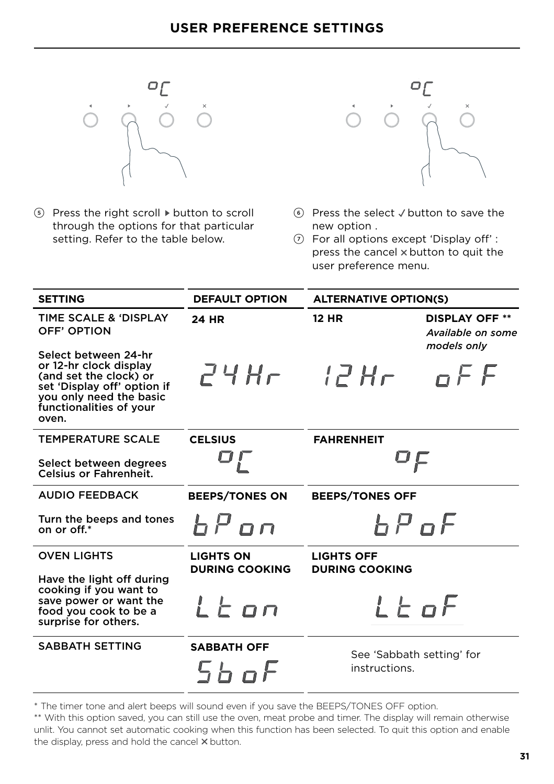

 $(5)$  Press the right scroll  $\triangleright$  button to scroll through the options for that particular setting. Refer to the table below.



- $6$  Press the select  $\sqrt{}$  button to save the new option .
- 7 For all options except 'Display off' : press the cancel  $\times$  button to quit the user preference menu.

| <b>SETTING</b>                                                                                                                                                         | <b>DEFAULT OPTION</b>                     | <b>ALTERNATIVE OPTION(S)</b>               |                                                           |
|------------------------------------------------------------------------------------------------------------------------------------------------------------------------|-------------------------------------------|--------------------------------------------|-----------------------------------------------------------|
| <b>TIME SCALE &amp; 'DISPLAY</b><br>OFF' OPTION                                                                                                                        | 24 HR                                     | <b>12 HR</b>                               | <b>DISPLAY OFF **</b><br>Available on some<br>models only |
| Select between 24-hr<br>or 12-hr clock display<br>(and set the clock) or<br>set 'Display off' option if<br>you only need the basic<br>functionalities of your<br>oven. | $P^{\prime}$ 4 H $\tau^-$                 | $l$ $2Hr$                                  | nFF                                                       |
| <b>TEMPERATURE SCALE</b>                                                                                                                                               | <b>CELSIUS</b>                            | <b>FAHRENHEIT</b>                          |                                                           |
| Select between degrees<br><b>Celsius or Fahrenheit.</b>                                                                                                                |                                           | OĘ                                         |                                                           |
| <b>AUDIO FEEDBACK</b>                                                                                                                                                  | <b>BEEPS/TONES ON</b>                     | <b>BEEPS/TONES OFF</b>                     |                                                           |
| Turn the beeps and tones<br>on or off.*                                                                                                                                | bPon                                      | <i>b P of</i>                              |                                                           |
| <b>OVEN LIGHTS</b>                                                                                                                                                     | <b>LIGHTS ON</b><br><b>DURING COOKING</b> | <b>LIGHTS OFF</b><br><b>DURING COOKING</b> |                                                           |
| Have the light off during<br>cooking if you want to<br>save power or want the<br>food you cook to be a<br>surprise for others.                                         | Lton                                      | $i \in \mathsf{a} \mathsf{F}$              |                                                           |
| <b>SABBATH SETTING</b>                                                                                                                                                 | <b>SABBATH OFF</b><br>5 <sub>b</sub> at   | See 'Sabbath setting' for<br>instructions. |                                                           |

\* The timer tone and alert beeps will sound even if you save the BEEPS/TONES OFF option.

\*\* With this option saved, you can still use the oven, meat probe and timer. The display will remain otherwise unlit. You cannot set automatic cooking when this function has been selected. To quit this option and enable the display, press and hold the cancel  $\times$  button.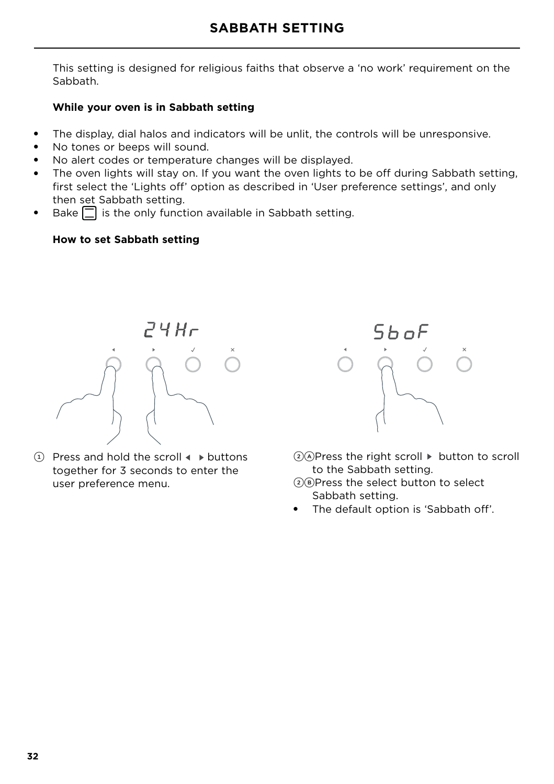This setting is designed for religious faiths that observe a 'no work' requirement on the Sabbath.

#### **While your oven is in Sabbath setting**

- The display, dial halos and indicators will be unlit, the controls will be unresponsive.
- No tones or beeps will sound.
- No alert codes or temperature changes will be displayed.
- The oven lights will stay on. If you want the oven lights to be off during Sabbath setting, first select the 'Lights off' option as described in 'User preference settings', and only then set Sabbath setting.
- Bake  $\Box$  is the only function available in Sabbath setting.

#### **How to set Sabbath setting**



 $(1)$  Press and hold the scroll  $\triangleleft$   $\triangleright$  buttons together for 3 seconds to enter the user preference menu.



- $2)$  Press the right scroll  $\blacktriangleright$  button to scroll to the Sabbath setting.
- $(2)$ B)Press the select button to select Sabbath setting.
- The default option is 'Sabbath off'.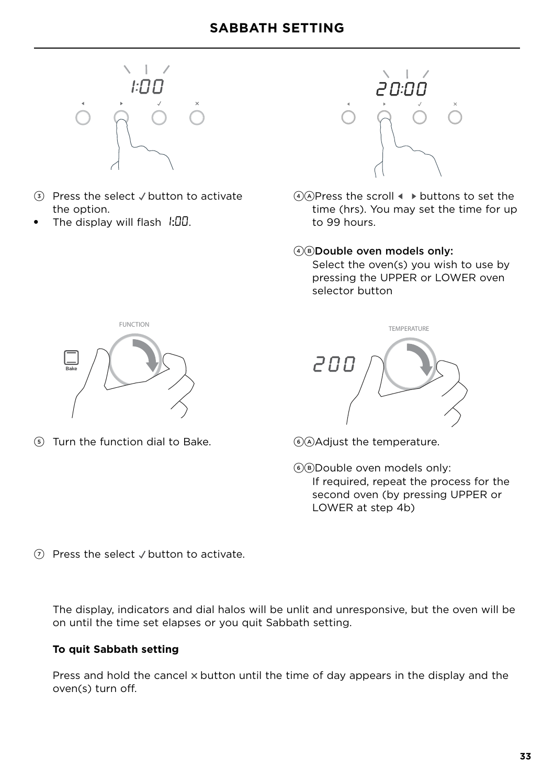

- $\Omega$  Press the select  $\sqrt{2}$  button to activate the option.
- The display will flash  $\sqrt{1.00}$ .



 $(4)$ A)Press the scroll  $\triangleleft$   $\triangleright$  buttons to set the time (hrs). You may set the time for up to 99 hours.

#### 4BDouble oven models only:

 Select the oven(s) you wish to use by pressing the UPPER or LOWER oven selector button



 $(5)$  Turn the function dial to Bake.  $(6)$ AAdjust the temperature.



6BDouble oven models only: If required, repeat the process for the second oven (by pressing UPPER or LOWER at step 4b)

 $(7)$  Press the select  $\vee$  button to activate.

The display, indicators and dial halos will be unlit and unresponsive, but the oven will be on until the time set elapses or you quit Sabbath setting.

#### **To quit Sabbath setting**

Press and hold the cancel  $\times$  button until the time of day appears in the display and the oven(s) turn off.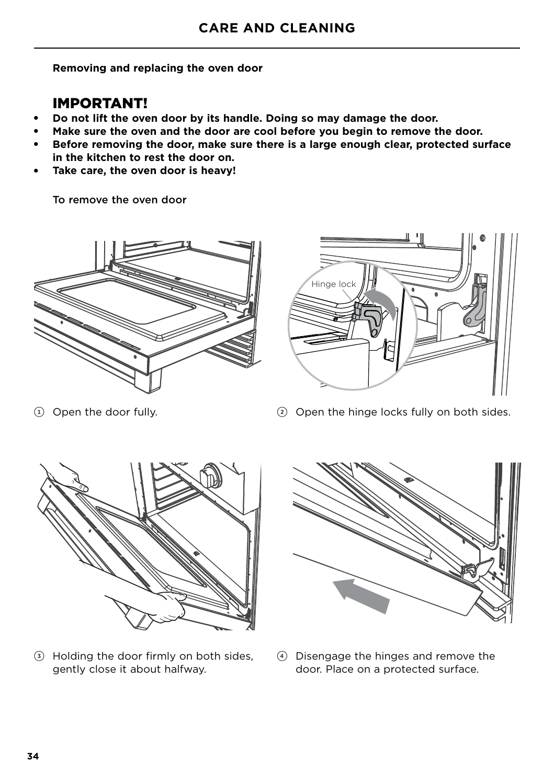**Removing and replacing the oven door**

## IMPORTANT!

- **Do not lift the oven door by its handle. Doing so may damage the door.**
- Make sure the oven and the door are cool before you begin to remove the door.
- Before removing the door, make sure there is a large enough clear, protected surface **in the kitchen to rest the door on.**
- Take care, the oven door is heavy!

To remove the oven door





1 Open the door fully.

2 Open the hinge locks fully on both sides.



3 Holding the door firmly on both sides, gently close it about halfway.



4 Disengage the hinges and remove the door. Place on a protected surface.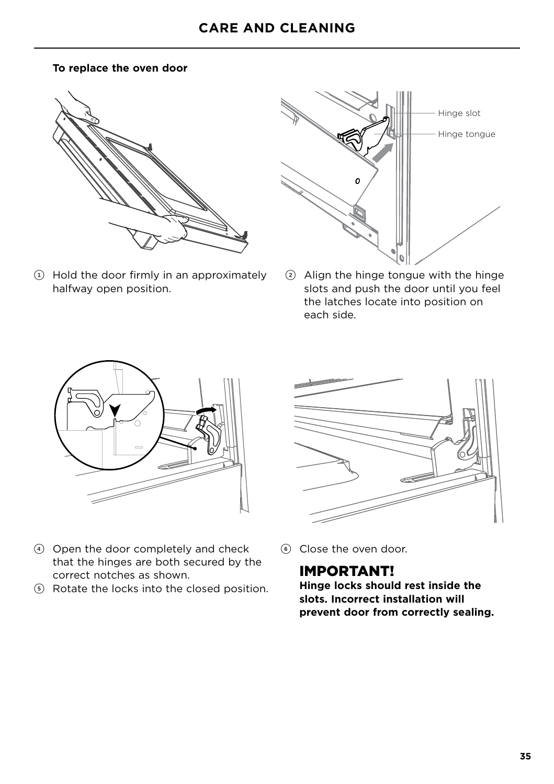#### **To replace the oven door**



1 Hold the door firmly in an approximately halfway open position.



2 Align the hinge tongue with the hinge slots and push the door until you feel the latches locate into position on each side.





- 4 Open the door completely and check that the hinges are both secured by the correct notches as shown.
- 5 Rotate the locks into the closed position.
- 6 Close the oven door.

### IMPORTANT!

**Hinge locks should rest inside the slots. Incorrect installation will prevent door from correctly sealing.**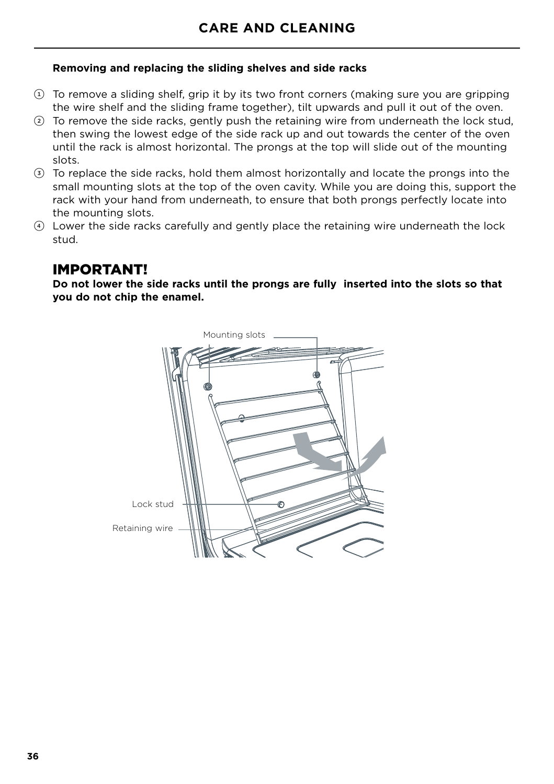#### **Removing and replacing the sliding shelves and side racks**

- $\Omega$  To remove a sliding shelf, grip it by its two front corners (making sure you are gripping the wire shelf and the sliding frame together), tilt upwards and pull it out of the oven.
- 2 To remove the side racks, gently push the retaining wire from underneath the lock stud, then swing the lowest edge of the side rack up and out towards the center of the oven until the rack is almost horizontal. The prongs at the top will slide out of the mounting slots.
- 3 To replace the side racks, hold them almost horizontally and locate the prongs into the small mounting slots at the top of the oven cavity. While you are doing this, support the rack with your hand from underneath, to ensure that both prongs perfectly locate into the mounting slots.
- 4 Lower the side racks carefully and gently place the retaining wire underneath the lock stud.

### IMPORTANT!

**Do not lower the side racks until the prongs are fully inserted into the slots so that you do not chip the enamel.**

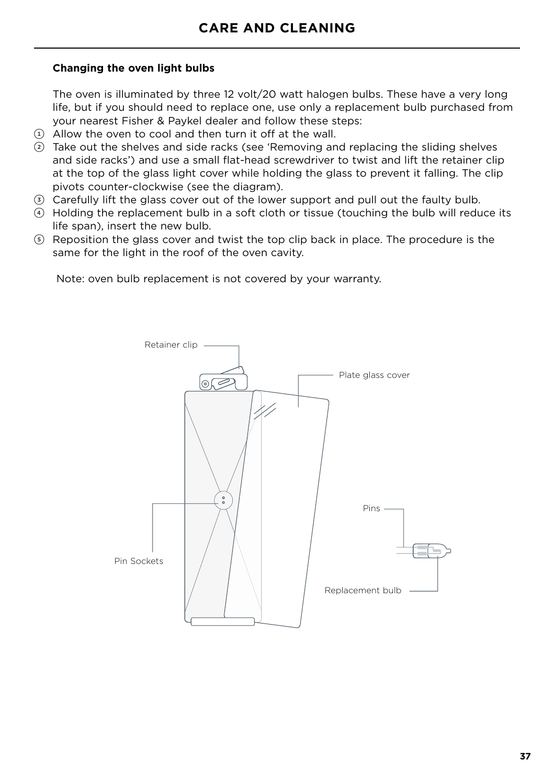#### **Changing the oven light bulbs**

The oven is illuminated by three 12 volt/20 watt halogen bulbs. These have a very long life, but if you should need to replace one, use only a replacement bulb purchased from your nearest Fisher & Paykel dealer and follow these steps:

- $(i)$  Allow the oven to cool and then turn it off at the wall.
- 2 Take out the shelves and side racks (see 'Removing and replacing the sliding shelves and side racks') and use a small flat-head screwdriver to twist and lift the retainer clip at the top of the glass light cover while holding the glass to prevent it falling. The clip pivots counter-clockwise (see the diagram).
- 3 Carefully lift the glass cover out of the lower support and pull out the faulty bulb.
- 4 Holding the replacement bulb in a soft cloth or tissue (touching the bulb will reduce its life span), insert the new bulb.
- 5 Reposition the glass cover and twist the top clip back in place. The procedure is the same for the light in the roof of the oven cavity.

Note: oven bulb replacement is not covered by your warranty.

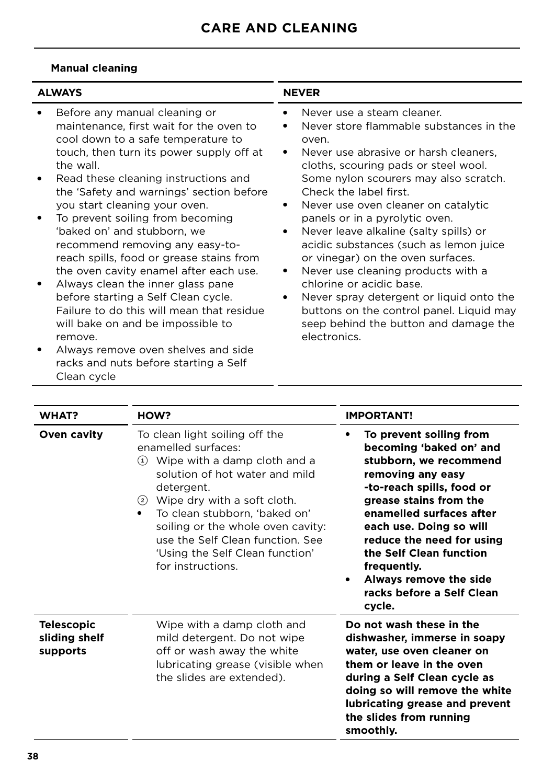### **Manual cleaning**

| <b>ALWAYS</b>                                                                                                                                                                                                                                                                                                                                                                                                                                                                                                                                                                                                                                                                                                                                                    | <b>NEVER</b>                                                                                                                                                                                                                                                                                                                                                                                                                                                                                                                                                                                                                                            |
|------------------------------------------------------------------------------------------------------------------------------------------------------------------------------------------------------------------------------------------------------------------------------------------------------------------------------------------------------------------------------------------------------------------------------------------------------------------------------------------------------------------------------------------------------------------------------------------------------------------------------------------------------------------------------------------------------------------------------------------------------------------|---------------------------------------------------------------------------------------------------------------------------------------------------------------------------------------------------------------------------------------------------------------------------------------------------------------------------------------------------------------------------------------------------------------------------------------------------------------------------------------------------------------------------------------------------------------------------------------------------------------------------------------------------------|
| Before any manual cleaning or<br>maintenance, first wait for the oven to<br>cool down to a safe temperature to<br>touch, then turn its power supply off at<br>the wall.<br>Read these cleaning instructions and<br>the 'Safety and warnings' section before<br>you start cleaning your oven.<br>To prevent soiling from becoming<br>'baked on' and stubborn, we<br>recommend removing any easy-to-<br>reach spills, food or grease stains from<br>the oven cavity enamel after each use.<br>Always clean the inner glass pane<br>before starting a Self Clean cycle.<br>Failure to do this will mean that residue<br>will bake on and be impossible to<br>remove.<br>Always remove oven shelves and side<br>racks and nuts before starting a Self<br>Clean cycle | Never use a steam cleaner.<br>Never store flammable substances in the<br>oven.<br>Never use abrasive or harsh cleaners,<br>cloths, scouring pads or steel wool.<br>Some nylon scourers may also scratch.<br>Check the label first.<br>Never use oven cleaner on catalytic<br>panels or in a pyrolytic oven.<br>Never leave alkaline (salty spills) or<br>acidic substances (such as lemon juice<br>or vinegar) on the oven surfaces.<br>Never use cleaning products with a<br>chlorine or acidic base.<br>Never spray detergent or liquid onto the<br>buttons on the control panel. Liquid may<br>seep behind the button and damage the<br>electronics. |

| <b>WHAT?</b>                                   | HOW?                                                                                                                                                                                                                                                                                                                                                               | <b>IMPORTANT!</b>                                                                                                                                                                                                                                                                                                                                       |
|------------------------------------------------|--------------------------------------------------------------------------------------------------------------------------------------------------------------------------------------------------------------------------------------------------------------------------------------------------------------------------------------------------------------------|---------------------------------------------------------------------------------------------------------------------------------------------------------------------------------------------------------------------------------------------------------------------------------------------------------------------------------------------------------|
| <b>Oven cavity</b>                             | To clean light soiling off the<br>enamelled surfaces:<br>Wipe with a damp cloth and a<br>$\left( 1\right)$<br>solution of hot water and mild<br>detergent.<br>2 Wipe dry with a soft cloth.<br>To clean stubborn, 'baked on'<br>٠<br>soiling or the whole oven cavity:<br>use the Self Clean function. See<br>'Using the Self Clean function'<br>for instructions. | To prevent soiling from<br>becoming 'baked on' and<br>stubborn, we recommend<br>removing any easy<br>-to-reach spills, food or<br>grease stains from the<br>enamelled surfaces after<br>each use. Doing so will<br>reduce the need for using<br>the Self Clean function<br>frequently.<br>Always remove the side<br>racks before a Self Clean<br>cycle. |
| <b>Telescopic</b><br>sliding shelf<br>supports | Wipe with a damp cloth and<br>mild detergent. Do not wipe<br>off or wash away the white<br>lubricating grease (visible when<br>the slides are extended).                                                                                                                                                                                                           | Do not wash these in the<br>dishwasher, immerse in soapy<br>water, use oven cleaner on<br>them or leave in the oven<br>during a Self Clean cycle as<br>doing so will remove the white<br>lubricating grease and prevent<br>the slides from running<br>smoothly.                                                                                         |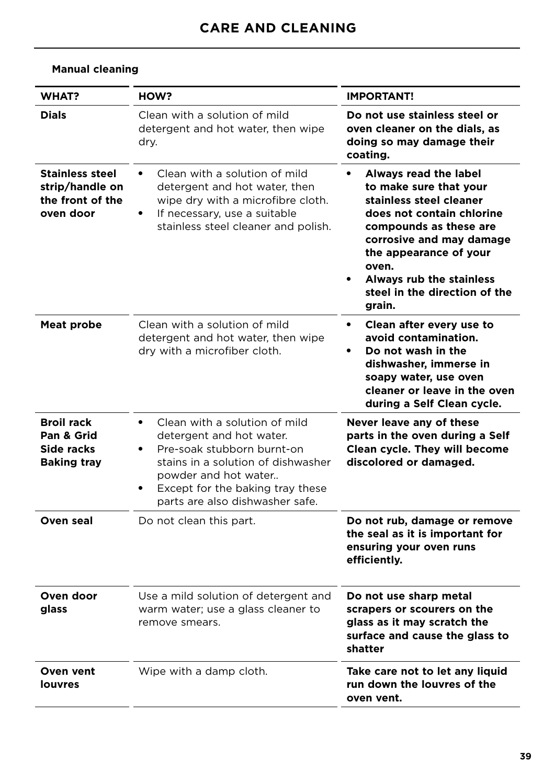| <b>WHAT?</b>                                                               | HOW?                                                                                                                                                                                                                                      | <b>IMPORTANT!</b>                                                                                                                                                                                                                                                       |
|----------------------------------------------------------------------------|-------------------------------------------------------------------------------------------------------------------------------------------------------------------------------------------------------------------------------------------|-------------------------------------------------------------------------------------------------------------------------------------------------------------------------------------------------------------------------------------------------------------------------|
| <b>Dials</b>                                                               | Clean with a solution of mild<br>detergent and hot water, then wipe<br>dry.                                                                                                                                                               | Do not use stainless steel or<br>oven cleaner on the dials, as<br>doing so may damage their<br>coating.                                                                                                                                                                 |
| <b>Stainless steel</b><br>strip/handle on<br>the front of the<br>oven door | Clean with a solution of mild<br>detergent and hot water, then<br>wipe dry with a microfibre cloth.<br>If necessary, use a suitable<br>stainless steel cleaner and polish.                                                                | Always read the label<br>to make sure that your<br>stainless steel cleaner<br>does not contain chlorine<br>compounds as these are<br>corrosive and may damage<br>the appearance of your<br>oven.<br>Always rub the stainless<br>steel in the direction of the<br>grain. |
| Meat probe                                                                 | Clean with a solution of mild<br>detergent and hot water, then wipe<br>dry with a microfiber cloth.                                                                                                                                       | Clean after every use to<br>$\bullet$<br>avoid contamination.<br>Do not wash in the<br>dishwasher, immerse in<br>soapy water, use oven<br>cleaner or leave in the oven<br>during a Self Clean cycle.                                                                    |
| <b>Broil rack</b><br>Pan & Grid<br>Side racks<br><b>Baking tray</b>        | Clean with a solution of mild<br>$\bullet$<br>detergent and hot water.<br>Pre-soak stubborn burnt-on<br>stains in a solution of dishwasher<br>powder and hot water<br>Except for the baking tray these<br>parts are also dishwasher safe. | Never leave any of these<br>parts in the oven during a Self<br>Clean cycle. They will become<br>discolored or damaged.                                                                                                                                                  |
| Oven seal                                                                  | Do not clean this part.                                                                                                                                                                                                                   | Do not rub, damage or remove<br>the seal as it is important for<br>ensuring your oven runs<br>efficiently.                                                                                                                                                              |
| Oven door<br>glass                                                         | Use a mild solution of detergent and<br>warm water; use a glass cleaner to<br>remove smears.                                                                                                                                              | Do not use sharp metal<br>scrapers or scourers on the<br>glass as it may scratch the<br>surface and cause the glass to<br>shatter                                                                                                                                       |
| Oven vent<br><b>louvres</b>                                                | Wipe with a damp cloth.                                                                                                                                                                                                                   | Take care not to let any liquid<br>run down the louvres of the<br>oven vent.                                                                                                                                                                                            |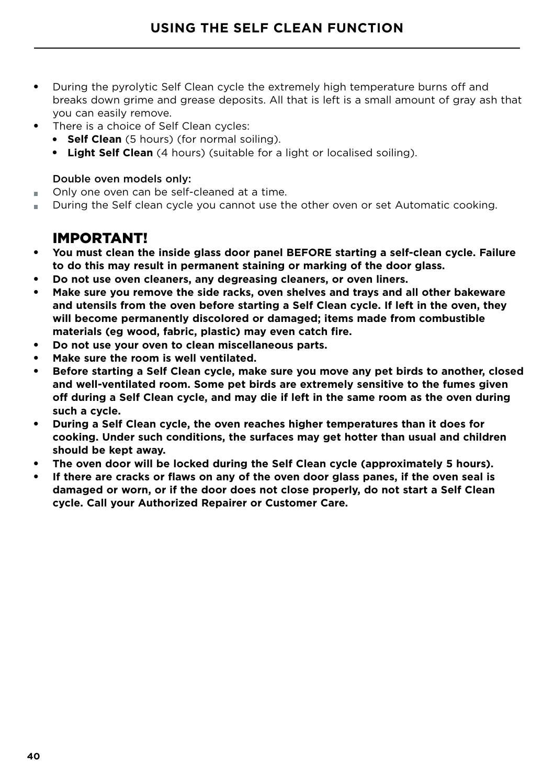- During the pyrolytic Self Clean cycle the extremely high temperature burns off and breaks down grime and grease deposits. All that is left is a small amount of gray ash that you can easily remove.
- There is a choice of Self Clean cycles:
	- **Self Clean** (5 hours) (for normal soiling).
	- **Light Self Clean** (4 hours) (suitable for a light or localised soiling).

#### Double oven models only:

- Only one oven can be self-cleaned at a time.
- During the Self clean cycle you cannot use the other oven or set Automatic cooking.

## IMPORTANT!

- **You must clean the inside glass door panel BEFORE starting a self-clean cycle. Failure to do this may result in permanent staining or marking of the door glass.**
- **Do not use oven cleaners, any degreasing cleaners, or oven liners.**
- Make sure you remove the side racks, oven shelves and trays and all other bakeware **and utensils from the oven before starting a Self Clean cycle. If left in the oven, they will become permanently discolored or damaged; items made from combustible materials (eg wood, fabric, plastic) may even catch fire.**
- **Do not use your oven to clean miscellaneous parts.**
- Make sure the room is well ventilated.
- Before starting a Self Clean cycle, make sure you move any pet birds to another, closed **and well-ventilated room. Some pet birds are extremely sensitive to the fumes given off during a Self Clean cycle, and may die if left in the same room as the oven during such a cycle.**
- **During a Self Clean cycle, the oven reaches higher temperatures than it does for cooking. Under such conditions, the surfaces may get hotter than usual and children should be kept away.**
- The oven door will be locked during the Self Clean cycle (approximately 5 hours).
- If there are cracks or flaws on any of the oven door glass panes, if the oven seal is **damaged or worn, or if the door does not close properly, do not start a Self Clean cycle. Call your Authorized Repairer or Customer Care.**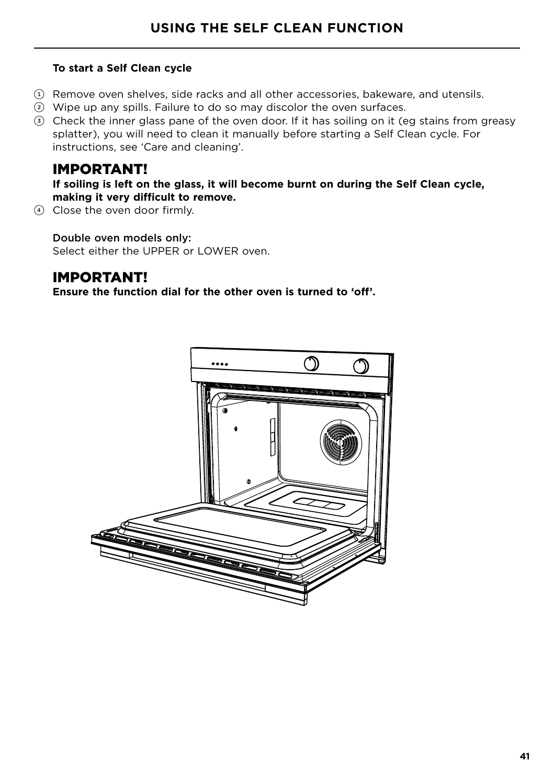#### **To start a Self Clean cycle**

- $\Omega$  Remove oven shelves, side racks and all other accessories, bakeware, and utensils.
- 2 Wipe up any spills. Failure to do so may discolor the oven surfaces.
- 3 Check the inner glass pane of the oven door. If it has soiling on it (eg stains from greasy splatter), you will need to clean it manually before starting a Self Clean cycle. For instructions, see 'Care and cleaning'.

### IMPORTANT!

**If soiling is left on the glass, it will become burnt on during the Self Clean cycle, making it very difficult to remove.**

4 Close the oven door firmly.

Double oven models only: Select either the UPPER or LOWER oven.

## IMPORTANT!

**Ensure the function dial for the other oven is turned to 'off'.**

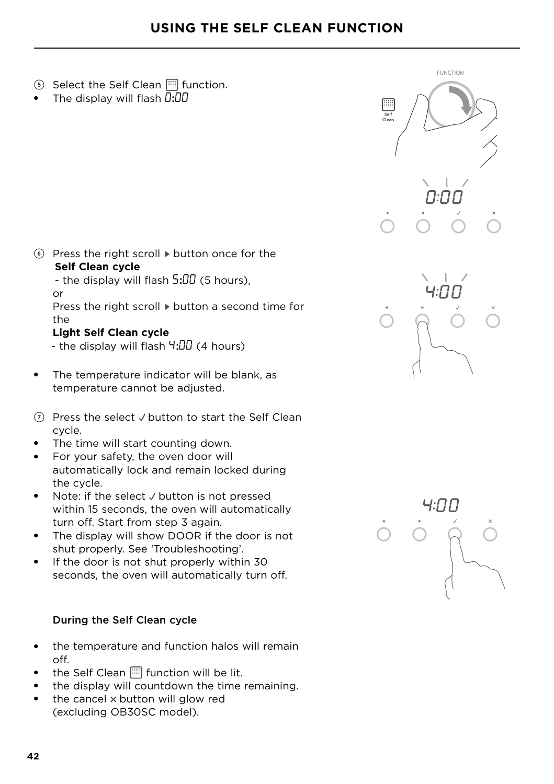- 5 Select the Self Clean function.
- The display will flash  $\overline{0:}00$

- $6$  Press the right scroll  $\triangleright$  button once for the **Self Clean cycle**
	- the display will flash 5:00 (5 hours). or

Press the right scroll  $\blacktriangleright$  button a second time for the

#### **Light Self Clean cycle**

- the display will flash  $4:00$  (4 hours)
- The temperature indicator will be blank, as temperature cannot be adjusted.
- $\Omega$  Press the select  $\vee$  button to start the Self Clean cycle.
- The time will start counting down.
- For your safety, the oven door will automatically lock and remain locked during the cycle.
- $\bullet$  Note: if the select  $\vee$  button is not pressed within 15 seconds, the oven will automatically turn off. Start from step 3 again.
- The display will show DOOR if the door is not shut properly. See 'Troubleshooting'.
- If the door is not shut properly within 30 seconds, the oven will automatically turn off.

#### During the Self Clean cycle

- the temperature and function halos will remain off.
- the Self Clean  $\Box$  function will be lit.
- the display will countdown the time remaining.
- the cancel  $\times$  button will glow red (excluding OB30SC model).



FUNCTION

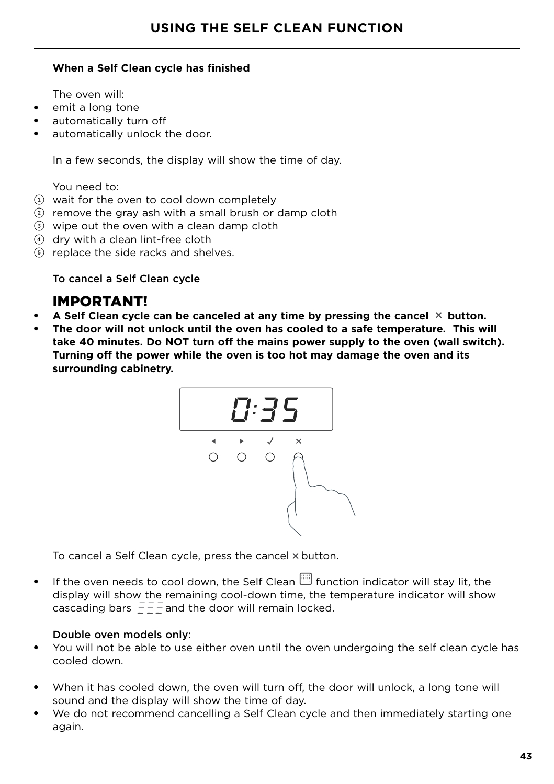#### **When a Self Clean cycle has finished**

The oven will:

- emit a long tone
- automatically turn off
- automatically unlock the door.

In a few seconds, the display will show the time of day.

You need to:

- $(1)$  wait for the oven to cool down completely
- $(2)$  remove the gray ash with a small brush or damp cloth
- 3 wipe out the oven with a clean damp cloth
- 4 dry with a clean lint-free cloth
- 5 replace the side racks and shelves.

To cancel a Self Clean cycle

## IMPORTANT!

- A Self Clean cycle can be canceled at any time by pressing the cancel  $\times$  button.
- The door will not unlock until the oven has cooled to a safe temperature. This will **take 40 minutes. Do NOT turn off the mains power supply to the oven (wall switch). Turning off the power while the oven is too hot may damage the oven and its surrounding cabinetry.**



To cancel a Self Clean cycle, press the cancel  $\times$  button.

 $\bullet$  If the oven needs to cool down, the Self Clean  $\Box$  function indicator will stay lit, the display will show the remaining cool-down time, the temperature indicator will show cascading bars  $\frac{3}{2}$  -  $\frac{3}{2}$  and the door will remain locked.

#### Double oven models only:

- You will not be able to use either oven until the oven undergoing the self clean cycle has cooled down.
- When it has cooled down, the oven will turn off, the door will unlock, a long tone will sound and the display will show the time of day.
- We do not recommend cancelling a Self Clean cycle and then immediately starting one again.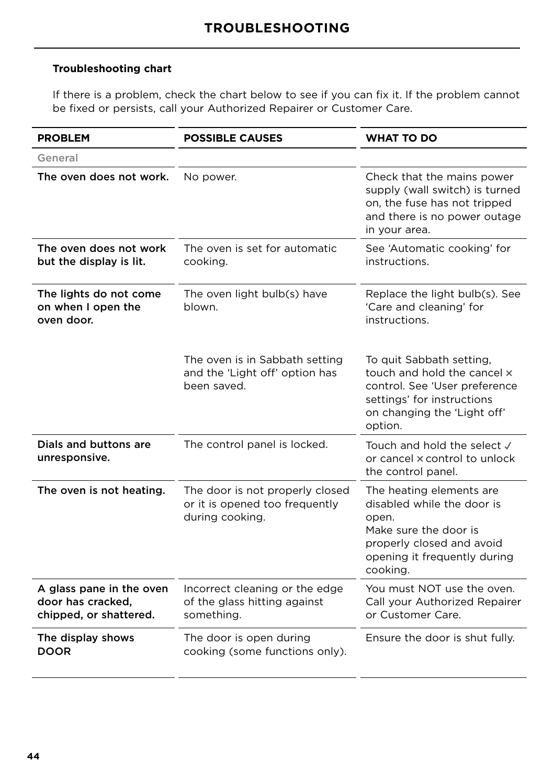#### **Troubleshooting chart**

If there is a problem, check the chart below to see if you can fix it. If the problem cannot be fixed or persists, call your Authorized Repairer or Customer Care.

| <b>PROBLEM</b>                                                          | <b>POSSIBLE CAUSES</b>                                                               | <b>WHAT TO DO</b>                                                                                                                                                 |
|-------------------------------------------------------------------------|--------------------------------------------------------------------------------------|-------------------------------------------------------------------------------------------------------------------------------------------------------------------|
| General                                                                 |                                                                                      |                                                                                                                                                                   |
| The oven does not work.                                                 | No power.                                                                            | Check that the mains power<br>supply (wall switch) is turned<br>on, the fuse has not tripped<br>and there is no power outage<br>in your area.                     |
| The oven does not work<br>but the display is lit.                       | The oven is set for automatic<br>cooking.                                            | See 'Automatic cooking' for<br>instructions.                                                                                                                      |
| The lights do not come<br>on when I open the<br>oven door.              | The oven light bulb(s) have<br>blown.                                                | Replace the light bulb(s). See<br>'Care and cleaning' for<br>instructions.                                                                                        |
|                                                                         | The oven is in Sabbath setting<br>and the 'Light off' option has<br>been saved.      | To quit Sabbath setting,<br>touch and hold the cancel x<br>control. See 'User preference<br>settings' for instructions<br>on changing the 'Light off'<br>option.  |
| Dials and buttons are<br>unresponsive.                                  | The control panel is locked.                                                         | Touch and hold the select √<br>or cancel x control to unlock<br>the control panel.                                                                                |
| The oven is not heating.                                                | The door is not properly closed<br>or it is opened too frequently<br>during cooking. | The heating elements are<br>disabled while the door is<br>open.<br>Make sure the door is<br>properly closed and avoid<br>opening it frequently during<br>cooking. |
| A glass pane in the oven<br>door has cracked.<br>chipped, or shattered. | Incorrect cleaning or the edge<br>of the glass hitting against<br>something.         | You must NOT use the oven.<br>Call your Authorized Repairer<br>or Customer Care.                                                                                  |
| The display shows<br><b>DOOR</b>                                        | The door is open during<br>cooking (some functions only).                            | Ensure the door is shut fully.                                                                                                                                    |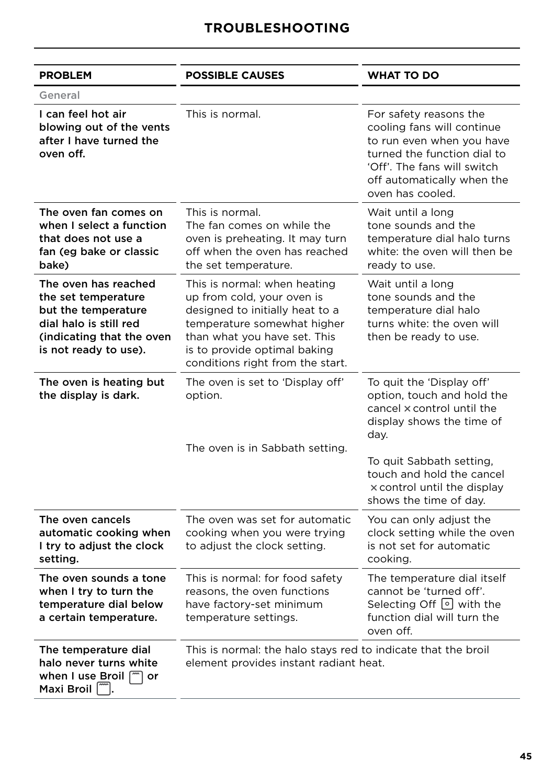| <b>PROBLEM</b>                                                                                                                                     | <b>POSSIBLE CAUSES</b>                                                                                                                                                                                                           | <b>WHAT TO DO</b>                                                                                                                                                                                                                            |
|----------------------------------------------------------------------------------------------------------------------------------------------------|----------------------------------------------------------------------------------------------------------------------------------------------------------------------------------------------------------------------------------|----------------------------------------------------------------------------------------------------------------------------------------------------------------------------------------------------------------------------------------------|
| General                                                                                                                                            |                                                                                                                                                                                                                                  |                                                                                                                                                                                                                                              |
| I can feel hot air<br>blowing out of the vents<br>after I have turned the<br>oven off.                                                             | This is normal.                                                                                                                                                                                                                  | For safety reasons the<br>cooling fans will continue<br>to run even when you have<br>turned the function dial to<br>'Off'. The fans will switch<br>off automatically when the<br>oven has cooled.                                            |
| The oven fan comes on<br>when I select a function<br>that does not use a<br>fan (eg bake or classic<br>bake)                                       | This is normal.<br>The fan comes on while the<br>oven is preheating. It may turn<br>off when the oven has reached<br>the set temperature.                                                                                        | Wait until a long<br>tone sounds and the<br>temperature dial halo turns<br>white: the oven will then be<br>ready to use.                                                                                                                     |
| The oven has reached<br>the set temperature<br>but the temperature<br>dial halo is still red<br>(indicating that the oven<br>is not ready to use). | This is normal: when heating<br>up from cold, your oven is<br>designed to initially heat to a<br>temperature somewhat higher<br>than what you have set. This<br>is to provide optimal baking<br>conditions right from the start. | Wait until a long<br>tone sounds and the<br>temperature dial halo<br>turns white: the oven will<br>then be ready to use.                                                                                                                     |
| The oven is heating but<br>the display is dark.                                                                                                    | The oven is set to 'Display off'<br>option.<br>The oven is in Sabbath setting.                                                                                                                                                   | To quit the 'Display off'<br>option, touch and hold the<br>cancel x control until the<br>display shows the time of<br>day.<br>To quit Sabbath setting,<br>touch and hold the cancel<br>x control until the display<br>shows the time of day. |
| The oven cancels<br>automatic cooking when<br>I try to adjust the clock<br>setting.                                                                | The oven was set for automatic<br>cooking when you were trying<br>to adjust the clock setting.                                                                                                                                   | You can only adjust the<br>clock setting while the oven<br>is not set for automatic<br>cooking.                                                                                                                                              |
| The oven sounds a tone<br>when I try to turn the<br>temperature dial below<br>a certain temperature.                                               | This is normal: for food safety<br>reasons, the oven functions<br>have factory-set minimum<br>temperature settings.                                                                                                              | The temperature dial itself<br>cannot be 'turned off'.<br>Selecting Off $\lceil \circ \rceil$ with the<br>function dial will turn the<br>oven off.                                                                                           |
| The temperature dial<br>halo never turns white<br>when I use Broil $\sqrt{m}$<br>or<br>Maxi Broil                                                  | This is normal: the halo stays red to indicate that the broil<br>element provides instant radiant heat.                                                                                                                          |                                                                                                                                                                                                                                              |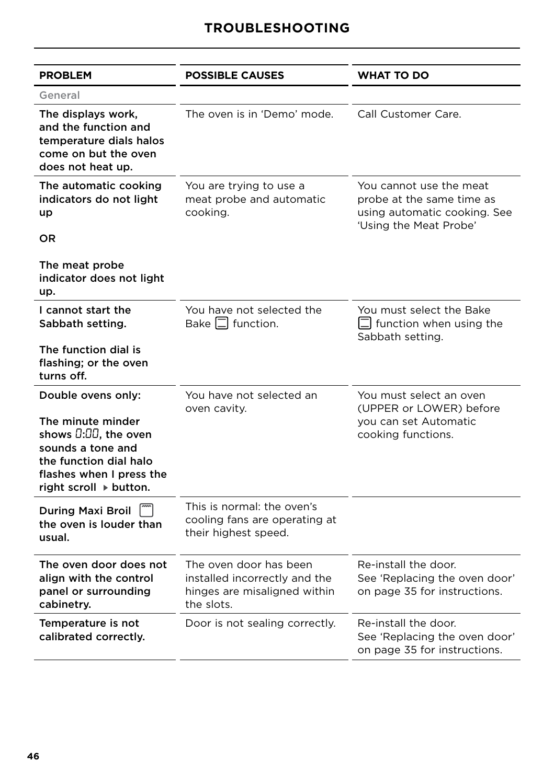## **TROUBLESHOOTING**

| <b>PROBLEM</b>                                                                                                                                    | <b>POSSIBLE CAUSES</b>                                                                                | WHAT TO DO                                                                                                     |
|---------------------------------------------------------------------------------------------------------------------------------------------------|-------------------------------------------------------------------------------------------------------|----------------------------------------------------------------------------------------------------------------|
| General                                                                                                                                           |                                                                                                       |                                                                                                                |
| The displays work,<br>and the function and<br>temperature dials halos<br>come on but the oven<br>does not heat up.                                | The oven is in 'Demo' mode.                                                                           | Call Customer Care.                                                                                            |
| The automatic cooking<br>indicators do not light<br>up<br>OR                                                                                      | You are trying to use a<br>meat probe and automatic<br>cooking.                                       | You cannot use the meat<br>probe at the same time as<br>using automatic cooking. See<br>'Using the Meat Probe' |
| The meat probe<br>indicator does not light<br>up.                                                                                                 |                                                                                                       |                                                                                                                |
| I cannot start the<br>Sabbath setting.                                                                                                            | You have not selected the<br>Bake $\Box$ function.                                                    | You must select the Bake<br>$ \square $ function when using the<br>Sabbath setting.                            |
| The function dial is<br>flashing; or the oven<br>turns off.                                                                                       |                                                                                                       |                                                                                                                |
| Double ovens only:                                                                                                                                | You have not selected an<br>oven cavity.                                                              | You must select an oven<br>(UPPER or LOWER) before                                                             |
| The minute minder<br>shows $0:00$ , the oven<br>sounds a tone and<br>the function dial halo<br>flashes when I press the<br>right scroll ▶ button. |                                                                                                       | you can set Automatic<br>cooking functions.                                                                    |
| During Maxi Broil<br>the oven is louder than<br>usual.                                                                                            | This is normal: the oven's<br>cooling fans are operating at<br>their highest speed.                   |                                                                                                                |
| The oven door does not<br>align with the control<br>panel or surrounding<br>cabinetry.                                                            | The oven door has been<br>installed incorrectly and the<br>hinges are misaligned within<br>the slots. | Re-install the door.<br>See 'Replacing the oven door'<br>on page 35 for instructions.                          |
| Temperature is not<br>calibrated correctly.                                                                                                       | Door is not sealing correctly.                                                                        | Re-install the door.<br>See 'Replacing the oven door'<br>on page 35 for instructions.                          |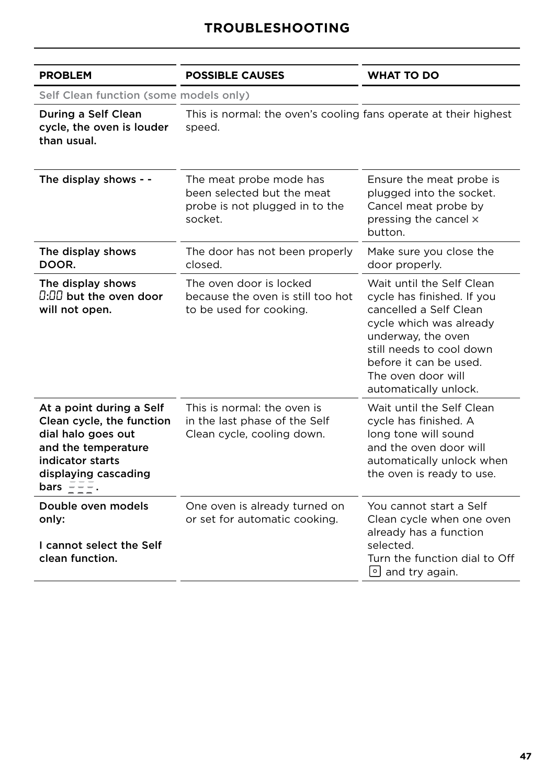## **TROUBLESHOOTING**

| <b>PROBLEM</b>                                                                                                                                                                                     | <b>POSSIBLE CAUSES</b>                                                                             | <b>WHAT TO DO</b>                                                                                                                                                                                                                       |  |
|----------------------------------------------------------------------------------------------------------------------------------------------------------------------------------------------------|----------------------------------------------------------------------------------------------------|-----------------------------------------------------------------------------------------------------------------------------------------------------------------------------------------------------------------------------------------|--|
| Self Clean function (some models only)                                                                                                                                                             |                                                                                                    |                                                                                                                                                                                                                                         |  |
| During a Self Clean<br>cycle, the oven is louder<br>than usual.                                                                                                                                    | This is normal: the oven's cooling fans operate at their highest<br>speed.                         |                                                                                                                                                                                                                                         |  |
| The display shows - -                                                                                                                                                                              | The meat probe mode has<br>been selected but the meat<br>probe is not plugged in to the<br>socket. | Ensure the meat probe is<br>plugged into the socket.<br>Cancel meat probe by<br>pressing the cancel x<br>button.                                                                                                                        |  |
| The display shows<br>DOOR.                                                                                                                                                                         | The door has not been properly<br>closed.                                                          | Make sure you close the<br>door properly.                                                                                                                                                                                               |  |
| The display shows<br>$\rm 0.00$ but the oven door<br>will not open.                                                                                                                                | The oven door is locked<br>because the oven is still too hot<br>to be used for cooking.            | Wait until the Self Clean<br>cycle has finished. If you<br>cancelled a Self Clean<br>cycle which was already<br>underway, the oven<br>still needs to cool down<br>before it can be used.<br>The oven door will<br>automatically unlock. |  |
| At a point during a Self<br>Clean cycle, the function<br>dial halo goes out<br>and the temperature<br>indicator starts<br>displaying cascading<br>bars $\frac{1}{2}$ $\frac{1}{2}$ $\frac{1}{2}$ . | This is normal: the oven is<br>in the last phase of the Self<br>Clean cycle, cooling down.         | Wait until the Self Clean<br>cycle has finished. A<br>long tone will sound<br>and the oven door will<br>automatically unlock when<br>the oven is ready to use.                                                                          |  |
| Double oven models<br>only:<br>I cannot select the Self<br>clean function.                                                                                                                         | One oven is already turned on<br>or set for automatic cooking.                                     | You cannot start a Self<br>Clean cycle when one oven<br>already has a function<br>selected.<br>Turn the function dial to Off<br>$\circ$ and try again.                                                                                  |  |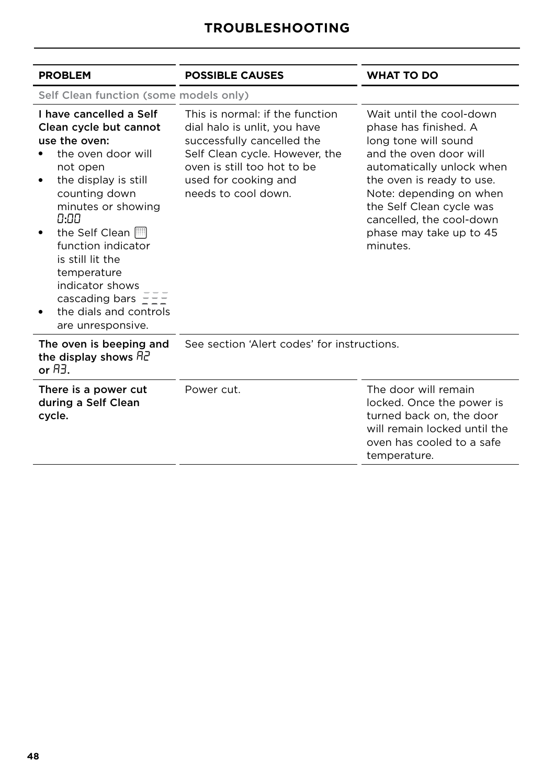## **TROUBLESHOOTING**

| <b>POSSIBLE CAUSES</b>                                                                                                                                                                                        | <b>WHAT TO DO</b>                                                                                                                                                                                                                                                                       |
|---------------------------------------------------------------------------------------------------------------------------------------------------------------------------------------------------------------|-----------------------------------------------------------------------------------------------------------------------------------------------------------------------------------------------------------------------------------------------------------------------------------------|
| Self Clean function (some models only)                                                                                                                                                                        |                                                                                                                                                                                                                                                                                         |
| This is normal: if the function<br>dial halo is unlit, you have<br>successfully cancelled the<br>Self Clean cycle. However, the<br>oven is still too hot to be<br>used for cooking and<br>needs to cool down. | Wait until the cool-down<br>phase has finished. A<br>long tone will sound<br>and the oven door will<br>automatically unlock when<br>the oven is ready to use.<br>Note: depending on when<br>the Self Clean cycle was<br>cancelled, the cool-down<br>phase may take up to 45<br>minutes. |
| See section 'Alert codes' for instructions.                                                                                                                                                                   |                                                                                                                                                                                                                                                                                         |
| Power cut.                                                                                                                                                                                                    | The door will remain<br>locked. Once the power is<br>turned back on, the door<br>will remain locked until the<br>oven has cooled to a safe<br>temperature.                                                                                                                              |
|                                                                                                                                                                                                               |                                                                                                                                                                                                                                                                                         |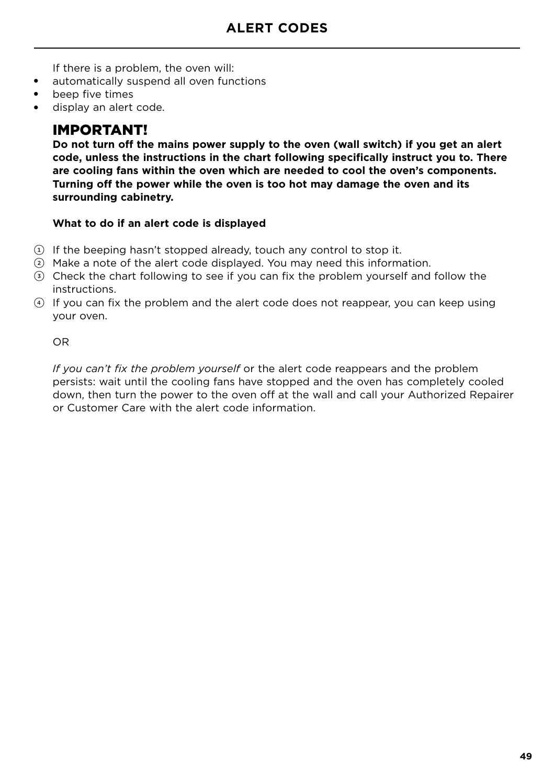If there is a problem, the oven will:

- automatically suspend all oven functions
- beep five times
- display an alert code.

## IMPORTANT!

**Do not turn off the mains power supply to the oven (wall switch) if you get an alert code, unless the instructions in the chart following specifically instruct you to. There are cooling fans within the oven which are needed to cool the oven's components. Turning off the power while the oven is too hot may damage the oven and its surrounding cabinetry.**

#### **What to do if an alert code is displayed**

- 1 If the beeping hasn't stopped already, touch any control to stop it.
- 2 Make a note of the alert code displayed. You may need this information.
- 3 Check the chart following to see if you can fix the problem yourself and follow the instructions.
- 4 If you can fix the problem and the alert code does not reappear, you can keep using your oven.

OR

*If you can't fix the problem yourself* or the alert code reappears and the problem persists: wait until the cooling fans have stopped and the oven has completely cooled down, then turn the power to the oven off at the wall and call your Authorized Repairer or Customer Care with the alert code information.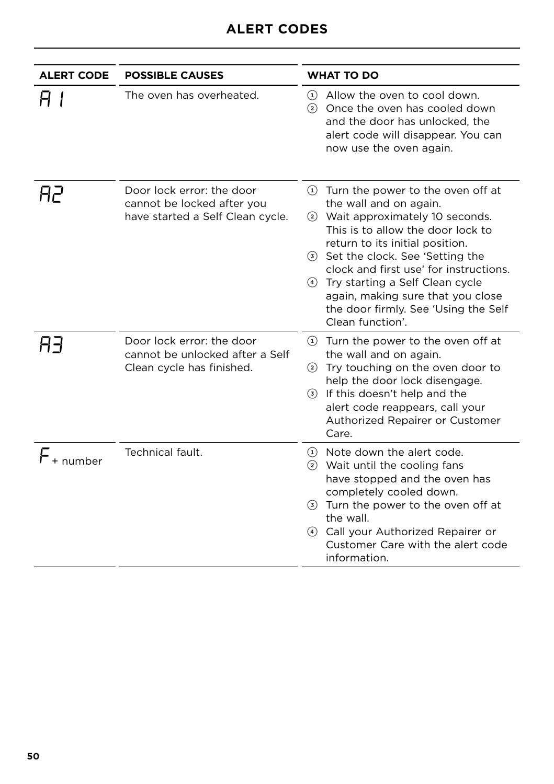## **ALERT CODES**

| <b>ALERT CODE</b> | <b>POSSIBLE CAUSES</b>                                                                      | <b>WHAT TO DO</b>                                                                                                                                                                                                                                                                                                                                                                               |
|-------------------|---------------------------------------------------------------------------------------------|-------------------------------------------------------------------------------------------------------------------------------------------------------------------------------------------------------------------------------------------------------------------------------------------------------------------------------------------------------------------------------------------------|
| H I               | The oven has overheated.                                                                    | Allow the oven to cool down.<br>$\left( 1\right)$<br>Once the oven has cooled down<br>(2)<br>and the door has unlocked, the<br>alert code will disappear. You can<br>now use the oven again.                                                                                                                                                                                                    |
| Hґ                | Door lock error: the door<br>cannot be locked after you<br>have started a Self Clean cycle. | 1) Turn the power to the oven off at<br>the wall and on again.<br>2 Wait approximately 10 seconds.<br>This is to allow the door lock to<br>return to its initial position.<br>3 Set the clock. See 'Setting the<br>clock and first use' for instructions.<br>4 Try starting a Self Clean cycle<br>again, making sure that you close<br>the door firmly. See 'Using the Self<br>Clean function'. |
| 83                | Door lock error: the door<br>cannot be unlocked after a Self<br>Clean cycle has finished.   | 1) Turn the power to the oven off at<br>the wall and on again.<br>2 Try touching on the oven door to<br>help the door lock disengage.<br><b>3</b> If this doesn't help and the<br>alert code reappears, call your<br>Authorized Repairer or Customer<br>Care.                                                                                                                                   |
| $F_{+}$ number    | Technical fault.                                                                            | 1) Note down the alert code.<br>2 Wait until the cooling fans<br>have stopped and the oven has<br>completely cooled down.<br>3 Turn the power to the oven off at<br>the wall.<br>4 Call your Authorized Repairer or<br>Customer Care with the alert code<br>information.                                                                                                                        |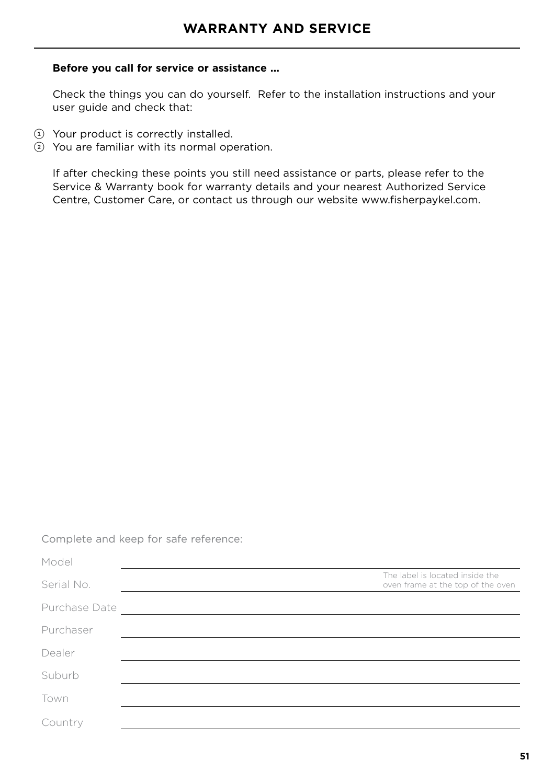#### **Before you call for service or assistance ...**

Check the things you can do yourself. Refer to the installation instructions and your user guide and check that:

- 1 Your product is correctly installed.
- 2 You are familiar with its normal operation.

If after checking these points you still need assistance or parts, please refer to the Service & Warranty book for warranty details and your nearest Authorized Service Centre, Customer Care, or contact us through our website www.fisherpaykel.com.

Complete and keep for safe reference:

| Model         |                                                                      |
|---------------|----------------------------------------------------------------------|
| Serial No.    | The label is located inside the<br>oven frame at the top of the oven |
| Purchase Date |                                                                      |
| Purchaser     |                                                                      |
| Dealer        |                                                                      |
| Suburb        |                                                                      |
| Town          |                                                                      |
| Country       |                                                                      |